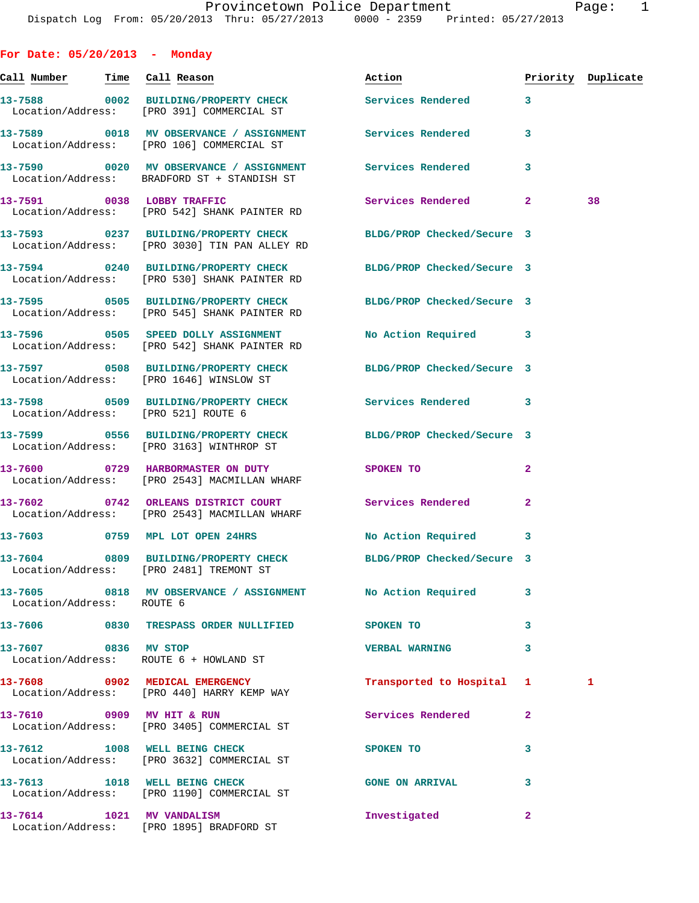| For Date: $05/20/2013$ - Monday<br><u>Call Number — Time</u> Call Reason |                                                                                                                       | Action                     |              | Priority Duplicate |
|--------------------------------------------------------------------------|-----------------------------------------------------------------------------------------------------------------------|----------------------------|--------------|--------------------|
|                                                                          | 13-7588 0002 BUILDING/PROPERTY CHECK<br>Location/Address: [PRO 391] COMMERCIAL ST                                     | <b>Services Rendered</b>   | 3            |                    |
|                                                                          | 13-7589 0018 MV OBSERVANCE / ASSIGNMENT Services Rendered<br>Location/Address: [PRO 106] COMMERCIAL ST                |                            | 3            |                    |
|                                                                          | 13-7590       0020   MV OBSERVANCE / ASSIGNMENT      Services Rendered<br>Location/Address: BRADFORD ST + STANDISH ST |                            | 3            |                    |
|                                                                          | 13-7591 0038 LOBBY TRAFFIC<br>Location/Address: [PRO 542] SHANK PAINTER RD                                            | Services Rendered 2        |              | 38                 |
|                                                                          | 13-7593 0237 BUILDING/PROPERTY CHECK<br>Location/Address: [PRO 3030] TIN PAN ALLEY RD                                 | BLDG/PROP Checked/Secure 3 |              |                    |
|                                                                          | 13-7594 0240 BUILDING/PROPERTY CHECK BLDG/PROP Checked/Secure 3<br>Location/Address: [PRO 530] SHANK PAINTER RD       |                            |              |                    |
|                                                                          | 13-7595 0505 BUILDING/PROPERTY CHECK BLDG/PROP Checked/Secure 3<br>Location/Address: [PRO 545] SHANK PAINTER RD       |                            |              |                    |
|                                                                          | 13-7596 0505 SPEED DOLLY ASSIGNMENT<br>Location/Address: [PRO 542] SHANK PAINTER RD                                   | No Action Required 3       |              |                    |
|                                                                          | 13-7597 0508 BUILDING/PROPERTY CHECK BLDG/PROP Checked/Secure 3<br>Location/Address: [PRO 1646] WINSLOW ST            |                            |              |                    |
| Location/Address: [PRO 521] ROUTE 6                                      | 13-7598 0509 BUILDING/PROPERTY CHECK Services Rendered                                                                |                            | 3            |                    |
|                                                                          | 13-7599 0556 BUILDING/PROPERTY CHECK BLDG/PROP Checked/Secure 3<br>Location/Address: [PRO 3163] WINTHROP ST           |                            |              |                    |
|                                                                          | 13-7600 0729 HARBORMASTER ON DUTY<br>Location/Address: [PRO 2543] MACMILLAN WHARF                                     | SPOKEN TO                  | $\mathbf{2}$ |                    |
|                                                                          | 13-7602 0742 ORLEANS DISTRICT COURT Services Rendered 2<br>Location/Address: [PRO 2543] MACMILLAN WHARF               |                            |              |                    |
|                                                                          | 13-7603 0759 MPL LOT OPEN 24HRS                                                                                       | No Action Required 3       |              |                    |
|                                                                          | 13-7604 0809 BUILDING/PROPERTY CHECK BLDG/PROP Checked/Secure 3<br>Location/Address: [PRO 2481] TREMONT ST            |                            |              |                    |
| Location/Address: ROUTE 6                                                | 13-7605 0818 MV OBSERVANCE / ASSIGNMENT No Action Required                                                            |                            | 3            |                    |
|                                                                          | 13-7606 6830 TRESPASS ORDER NULLIFIED SPOKEN TO                                                                       |                            | 3            |                    |
| 13-7607 0836 MV STOP                                                     | Location/Address: ROUTE 6 + HOWLAND ST                                                                                | <b>VERBAL WARNING</b>      | 3            |                    |
|                                                                          | 13-7608 0902 MEDICAL EMERGENCY<br>Location/Address: [PRO 440] HARRY KEMP WAY                                          | Transported to Hospital 1  |              | 1                  |
|                                                                          | 13-7610 0909 MV HIT & RUN<br>Location/Address: [PRO 3405] COMMERCIAL ST                                               | Services Rendered          | $\mathbf{2}$ |                    |
|                                                                          | 13-7612 1008 WELL BEING CHECK<br>Location/Address: [PRO 3632] COMMERCIAL ST                                           | SPOKEN TO                  | 3            |                    |
|                                                                          | 13-7613 1018 WELL BEING CHECK<br>Location/Address: [PRO 1190] COMMERCIAL ST                                           | <b>GONE ON ARRIVAL</b>     | 3            |                    |

**13-7614 1021 MV VANDALISM Investigated 2** 

Location/Address: [PRO 1895] BRADFORD ST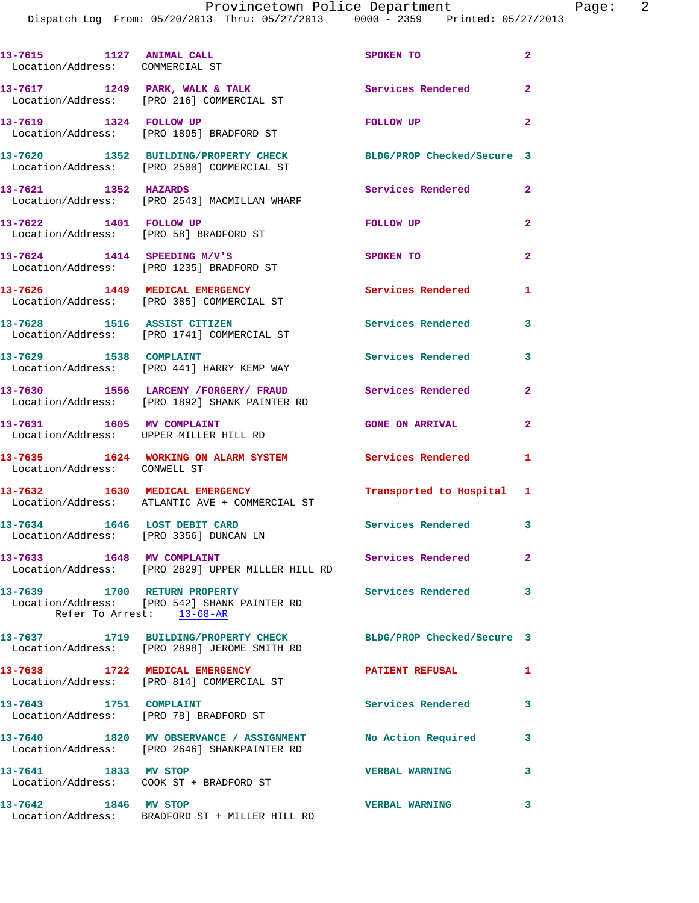| 13-7615 1127 ANIMAL CALL<br>Location/Address: COMMERCIAL ST            |                                                                                                                 | SPOKEN TO                  | $\mathbf{2}$   |
|------------------------------------------------------------------------|-----------------------------------------------------------------------------------------------------------------|----------------------------|----------------|
|                                                                        | $13-7617$ 1249 PARK, WALK & TALK<br>Location/Address: [PRO 216] COMMERCIAL ST                                   | Services Rendered          | $\overline{a}$ |
| 13-7619 1324 FOLLOW UP                                                 | Location/Address: [PRO 1895] BRADFORD ST                                                                        | FOLLOW UP                  | $\overline{2}$ |
|                                                                        | 13-7620 1352 BUILDING/PROPERTY CHECK<br>Location/Address: [PRO 2500] COMMERCIAL ST                              | BLDG/PROP Checked/Secure 3 |                |
| 13-7621 1352 HAZARDS                                                   | Location/Address: [PRO 2543] MACMILLAN WHARF                                                                    | Services Rendered          | $\mathbf{2}$   |
| 13-7622 1401 FOLLOW UP                                                 | Location/Address: [PRO 58] BRADFORD ST                                                                          | FOLLOW UP                  | $\overline{a}$ |
| $13-7624$ 1414 SPEEDING M/V'S                                          | Location/Address: [PRO 1235] BRADFORD ST                                                                        | SPOKEN TO                  | $\overline{2}$ |
|                                                                        | 13-7626 1449 MEDICAL EMERGENCY<br>Location/Address: [PRO 385] COMMERCIAL ST                                     | <b>Services Rendered</b>   | $\mathbf{1}$   |
| 13-7628 1516 ASSIST CITIZEN                                            | Location/Address: [PRO 1741] COMMERCIAL ST                                                                      | <b>Services Rendered</b>   | 3              |
| 13-7629 1538 COMPLAINT                                                 | Location/Address: [PRO 441] HARRY KEMP WAY                                                                      | Services Rendered          | 3              |
|                                                                        | 13-7630 1556 LARCENY / FORGERY / FRAUD Services Rendered<br>Location/Address: [PRO 1892] SHANK PAINTER RD       |                            | $\mathbf{2}$   |
| 13-7631 1605 MV COMPLAINT                                              | Location/Address: UPPER MILLER HILL RD                                                                          | <b>GONE ON ARRIVAL</b>     | $\overline{2}$ |
| Location/Address: CONWELL ST                                           | 13-7635 1624 WORKING ON ALARM SYSTEM                                                                            | Services Rendered          | 1              |
|                                                                        | 13-7632 1630 MEDICAL EMERGENCY<br>Location/Address: ATLANTIC AVE + COMMERCIAL ST                                | Transported to Hospital 1  |                |
| 13-7634 1646 LOST DEBIT CARD<br>Location/Address: [PRO 3356] DUNCAN LN |                                                                                                                 | Services Rendered 3        |                |
| 13-7633 1648 MV COMPLAINT                                              | Location/Address: [PRO 2829] UPPER MILLER HILL RD                                                               | Services Rendered          | $\mathbf{2}$   |
| 13-7639 1700 RETURN PROPERTY                                           | Location/Address: [PRO 542] SHANK PAINTER RD<br>Refer To Arrest: 13-68-AR                                       | <b>Services Rendered</b>   | 3              |
|                                                                        | 13-7637 1719 BUILDING/PROPERTY CHECK BLDG/PROP Checked/Secure 3<br>Location/Address: [PRO 2898] JEROME SMITH RD |                            |                |
|                                                                        | 13-7638 1722 MEDICAL EMERGENCY<br>Location/Address: [PRO 814] COMMERCIAL ST                                     | <b>PATIENT REFUSAL</b>     | 1              |
| 13-7643 1751 COMPLAINT                                                 | Location/Address: [PRO 78] BRADFORD ST                                                                          | Services Rendered          | 3              |
|                                                                        | 13-7640 1820 MV OBSERVANCE / ASSIGNMENT No Action Required<br>Location/Address: [PRO 2646] SHANKPAINTER RD      |                            | 3              |
| 13-7641 1833 MV STOP                                                   | Location/Address: COOK ST + BRADFORD ST                                                                         | <b>VERBAL WARNING</b>      | 3              |
| 13-7642 1846 MV STOP                                                   | Location/Address: BRADFORD ST + MILLER HILL RD                                                                  | <b>VERBAL WARNING</b>      | 3              |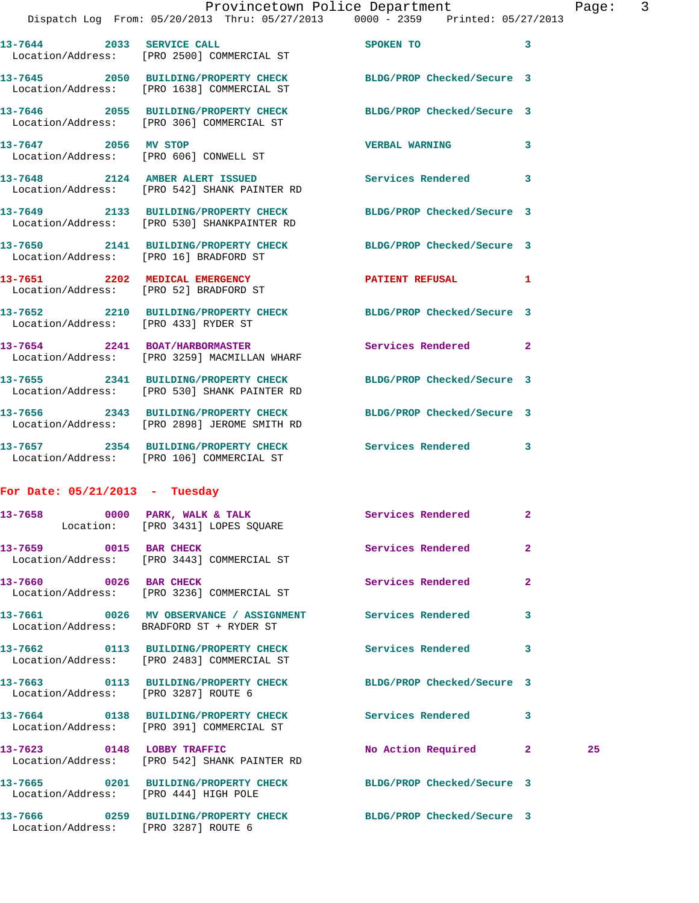**13-7646 2055 BUILDING/PROPERTY CHECK BLDG/PROP Checked/Secure 3**  Location/Address: [PRO 306] COMMERCIAL ST **13-7647 2056 MV STOP VERBAL WARNING 3**  Location/Address: [PRO 606] CONWELL ST **13-7648 2124 AMBER ALERT ISSUED Services Rendered 3**  Location/Address: [PRO 542] SHANK PAINTER RD **13-7649 2133 BUILDING/PROPERTY CHECK BLDG/PROP Checked/Secure 3**  Location/Address: [PRO 530] SHANKPAINTER RD **13-7650 2141 BUILDING/PROPERTY CHECK BLDG/PROP Checked/Secure 3**  Location/Address: [PRO 16] BRADFORD ST **13-7651 2202 MEDICAL EMERGENCY PATIENT REFUSAL 1**  Location/Address: [PRO 52] BRADFORD ST **13-7652 2210 BUILDING/PROPERTY CHECK BLDG/PROP Checked/Secure 3**  Location/Address: [PRO 433] RYDER ST **13-7654 2241 BOAT/HARBORMASTER Services Rendered 2**  Location/Address: [PRO 3259] MACMILLAN WHARF **13-7655 2341 BUILDING/PROPERTY CHECK BLDG/PROP Checked/Secure 3**  Location/Address: [PRO 530] SHANK PAINTER RD **13-7656 2343 BUILDING/PROPERTY CHECK BLDG/PROP Checked/Secure 3**  Location/Address: [PRO 2898] JEROME SMITH RD **13-7657 2354 BUILDING/PROPERTY CHECK Services Rendered 3**  Location/Address: [PRO 106] COMMERCIAL ST

**13-7645 2050 BUILDING/PROPERTY CHECK BLDG/PROP Checked/Secure 3** 

## **For Date: 05/21/2013 - Tuesday**

Location/Address: [PRO 1638] COMMERCIAL ST

|                                       | 13-7658 0000 PARK, WALK & TALK Services Rendered<br>Location: [PRO 3431] LOPES SQUARE                 |                    | $\overline{2}$          |    |
|---------------------------------------|-------------------------------------------------------------------------------------------------------|--------------------|-------------------------|----|
|                                       | $13-7659$ 0015 BAR CHECK<br>Location/Address: [PRO 3443] COMMERCIAL ST                                | Services Rendered  | $\overline{2}$          |    |
|                                       | 13-7660 0026 BAR CHECK<br>Location/Address: [PRO 3236] COMMERCIAL ST                                  | Services Rendered  | $\overline{2}$          |    |
|                                       | 13-7661 0026 MV OBSERVANCE / ASSIGNMENT Services Rendered<br>Location/Address: BRADFORD ST + RYDER ST |                    | $\overline{\mathbf{3}}$ |    |
|                                       | 13-7662 0113 BUILDING/PROPERTY CHECK Services Rendered<br>Location/Address: [PRO 2483] COMMERCIAL ST  |                    | 3                       |    |
| Location/Address: [PRO 3287] ROUTE 6  | 13-7663 0113 BUILDING/PROPERTY CHECK BLDG/PROP Checked/Secure 3                                       |                    |                         |    |
|                                       | 13-7664 0138 BUILDING/PROPERTY CHECK Services Rendered<br>Location/Address: [PRO 391] COMMERCIAL ST   |                    | 3                       |    |
|                                       | 13-7623 0148 LOBBY TRAFFIC<br>Location/Address: [PRO 542] SHANK PAINTER RD                            | No Action Required | $\overline{2}$          | 25 |
| Location/Address: [PRO 444] HIGH POLE | 13-7665 0201 BUILDING/PROPERTY CHECK BLDG/PROP Checked/Secure 3                                       |                    |                         |    |
| Location/Address: [PRO 3287] ROUTE 6  | 13-7666 0259 BUILDING/PROPERTY CHECK BLDG/PROP Checked/Secure 3                                       |                    |                         |    |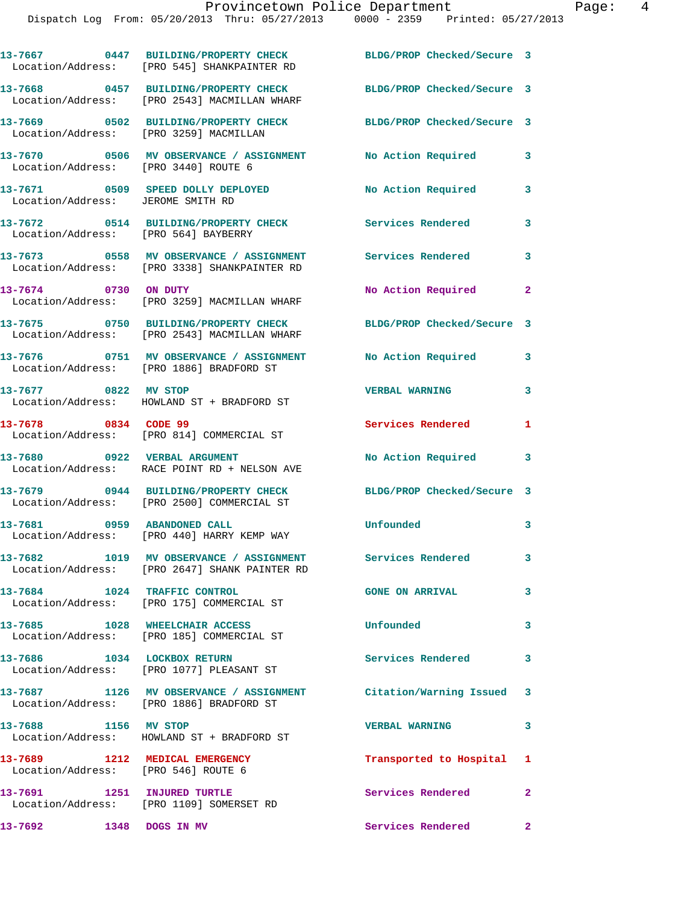|                                                                       | 13-7667 0447 BUILDING/PROPERTY CHECK<br>Location/Address: [PRO 545] SHANKPAINTER RD                           | BLDG/PROP Checked/Secure 3 |                |
|-----------------------------------------------------------------------|---------------------------------------------------------------------------------------------------------------|----------------------------|----------------|
|                                                                       | 13-7668 0457 BUILDING/PROPERTY CHECK<br>Location/Address: [PRO 2543] MACMILLAN WHARF                          | BLDG/PROP Checked/Secure 3 |                |
| Location/Address: [PRO 3259] MACMILLAN                                | 13-7669 0502 BUILDING/PROPERTY CHECK                                                                          | BLDG/PROP Checked/Secure 3 |                |
| Location/Address: [PRO 3440] ROUTE 6                                  | 13-7670 0506 MV OBSERVANCE / ASSIGNMENT No Action Required                                                    |                            | 3              |
| Location/Address: JEROME SMITH RD                                     | 13-7671 0509 SPEED DOLLY DEPLOYED                                                                             | No Action Required         | 3              |
| Location/Address: [PRO 564] BAYBERRY                                  | 13-7672 0514 BUILDING/PROPERTY CHECK Services Rendered                                                        |                            | 3              |
|                                                                       | 13-7673 0558 MV OBSERVANCE / ASSIGNMENT<br>Location/Address: [PRO 3338] SHANKPAINTER RD                       | Services Rendered          | 3              |
| 13-7674 0730 ON DUTY                                                  | Location/Address: [PRO 3259] MACMILLAN WHARF                                                                  | No Action Required 2       |                |
|                                                                       | 13-7675 0750 BUILDING/PROPERTY CHECK<br>Location/Address: [PRO 2543] MACMILLAN WHARF                          | BLDG/PROP Checked/Secure 3 |                |
|                                                                       | 13-7676 0751 MV OBSERVANCE / ASSIGNMENT No Action Required<br>Location/Address: [PRO 1886] BRADFORD ST        |                            | 3              |
| 13-7677 0822 MV STOP                                                  | Location/Address: HOWLAND ST + BRADFORD ST                                                                    | <b>VERBAL WARNING</b>      | 3              |
| 13-7678 0834 CODE 99                                                  | Location/Address: [PRO 814] COMMERCIAL ST                                                                     | Services Rendered          | 1              |
|                                                                       | 13-7680 0922 VERBAL ARGUMENT<br>Location/Address: RACE POINT RD + NELSON AVE                                  | No Action Required 3       |                |
|                                                                       | 13-7679 0944 BUILDING/PROPERTY CHECK<br>Location/Address: [PRO 2500] COMMERCIAL ST                            | BLDG/PROP Checked/Secure 3 |                |
| 13-7681 0959 ABANDONED CALL                                           | Location/Address: [PRO 440] HARRY KEMP WAY                                                                    | Unfounded                  | 3              |
|                                                                       | 13-7682 1019 MV OBSERVANCE / ASSIGNMENT Services Rendered<br>Location/Address: [PRO 2647] SHANK PAINTER RD    |                            | 3              |
|                                                                       | 13-7684 1024 TRAFFIC CONTROL<br>Location/Address: [PRO 175] COMMERCIAL ST                                     | <b>GONE ON ARRIVAL</b>     | 3              |
|                                                                       | 13-7685 1028 WHEELCHAIR ACCESS<br>Location/Address: [PRO 185] COMMERCIAL ST                                   | Unfounded                  | $\mathbf{3}$   |
|                                                                       | 13-7686 1034 LOCKBOX RETURN<br>Location/Address: [PRO 1077] PLEASANT ST                                       | <b>Services Rendered</b>   | 3              |
|                                                                       | 13-7687 1126 MV OBSERVANCE / ASSIGNMENT Citation/Warning Issued 3<br>Location/Address: [PRO 1886] BRADFORD ST |                            |                |
| 13-7688 1156 MV STOP                                                  | Location/Address: HOWLAND ST + BRADFORD ST                                                                    | <b>VERBAL WARNING</b>      | 3              |
| 13-7689 1212 MEDICAL EMERGENCY<br>Location/Address: [PRO 546] ROUTE 6 |                                                                                                               | Transported to Hospital 1  |                |
|                                                                       | 13-7691 1251 INJURED TURTLE<br>Location/Address: [PRO 1109] SOMERSET RD                                       | Services Rendered          | $\overline{2}$ |
| 13-7692 1348 DOGS IN MV                                               |                                                                                                               | Services Rendered          | $\mathbf{2}$   |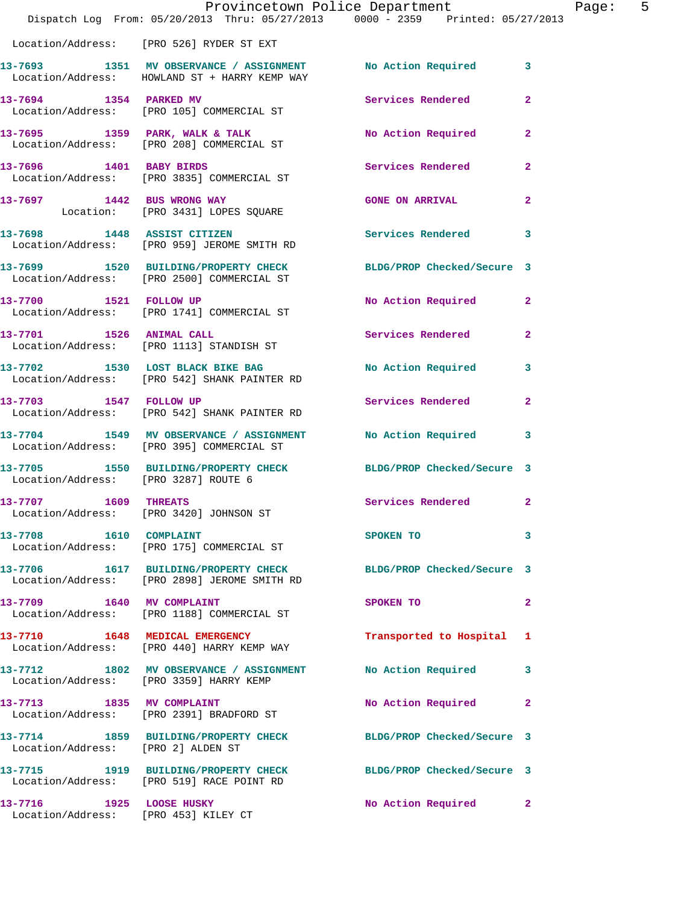|                                                                  | Provincetown Police Department<br>Dispatch Log From: 05/20/2013 Thru: 05/27/2013 0000 - 2359 Printed: 05/27/2013 |                           | Page: 5      |
|------------------------------------------------------------------|------------------------------------------------------------------------------------------------------------------|---------------------------|--------------|
|                                                                  | Location/Address: [PRO 526] RYDER ST EXT                                                                         |                           |              |
|                                                                  | 13-7693 1351 MV OBSERVANCE / ASSIGNMENT No Action Required 3<br>Location/Address: HOWLAND ST + HARRY KEMP WAY    |                           |              |
| 13-7694 1354 PARKED MV                                           | Location/Address: [PRO 105] COMMERCIAL ST                                                                        | Services Rendered 2       |              |
|                                                                  |                                                                                                                  | No Action Required        | $\mathbf{2}$ |
|                                                                  | 13-7696 1401 BABY BIRDS<br>Location/Address: [PRO 3835] COMMERCIAL ST                                            | Services Rendered         | $\mathbf{2}$ |
|                                                                  | 13-7697 1442 BUS WRONG WAY<br>Location: [PRO 3431] LOPES SQUARE                                                  | <b>GONE ON ARRIVAL</b>    | $\mathbf{2}$ |
|                                                                  | 13-7698 1448 ASSIST CITIZEN<br>Location/Address: [PRO 959] JEROME SMITH RD                                       | Services Rendered 3       |              |
|                                                                  | 13-7699 1520 BUILDING/PROPERTY CHECK BLDG/PROP Checked/Secure 3<br>Location/Address: [PRO 2500] COMMERCIAL ST    |                           |              |
|                                                                  | 13-7700 1521 FOLLOW UP<br>Location/Address: [PRO 1741] COMMERCIAL ST                                             | No Action Required 2      |              |
|                                                                  | 13-7701 1526 ANIMAL CALL<br>Location/Address: [PRO 1113] STANDISH ST                                             | Services Rendered 2       |              |
|                                                                  | 13-7702 1530 LOST BLACK BIKE BAG<br>Location/Address: [PRO 542] SHANK PAINTER RD                                 | No Action Required 3      |              |
| 13-7703 1547 FOLLOW UP                                           | Location/Address: [PRO 542] SHANK PAINTER RD                                                                     | Services Rendered         | $\mathbf{2}$ |
|                                                                  | 13-7704 1549 MV OBSERVANCE / ASSIGNMENT<br>Location/Address: [PRO 395] COMMERCIAL ST                             | No Action Required 3      |              |
| Location/Address: [PRO 3287] ROUTE 6                             | 13-7705 1550 BUILDING/PROPERTY CHECK BLDG/PROP Checked/Secure 3                                                  |                           |              |
| 13-7707 1609 THREATS                                             | Location/Address: [PRO 3420] JOHNSON ST                                                                          | Services Rendered         | $\mathbf{2}$ |
|                                                                  | Location/Address: [PRO 175] COMMERCIAL ST                                                                        | SPOKEN TO                 | 3            |
|                                                                  | 13-7706 1617 BUILDING/PROPERTY CHECK BLDG/PROP Checked/Secure 3<br>Location/Address: [PRO 2898] JEROME SMITH RD  |                           |              |
|                                                                  | 13-7709 1640 MV COMPLAINT<br>Location/Address: [PRO 1188] COMMERCIAL ST                                          | SPOKEN TO                 | $\mathbf{2}$ |
|                                                                  | 13-7710 1648 MEDICAL EMERGENCY<br>Location/Address: [PRO 440] HARRY KEMP WAY                                     | Transported to Hospital 1 |              |
|                                                                  | 13-7712 1802 MV OBSERVANCE / ASSIGNMENT No Action Required 3<br>Location/Address: [PRO 3359] HARRY KEMP          |                           |              |
|                                                                  | 13-7713 1835 MV COMPLAINT<br>Location/Address: [PRO 2391] BRADFORD ST                                            | No Action Required        | $\mathbf{2}$ |
| Location/Address: [PRO 2] ALDEN ST                               | 13-7714 1859 BUILDING/PROPERTY CHECK BLDG/PROP Checked/Secure 3                                                  |                           |              |
|                                                                  | 13-7715 1919 BUILDING/PROPERTY CHECK BLDG/PROP Checked/Secure 3<br>Location/Address: [PRO 519] RACE POINT RD     |                           |              |
| 13-7716 1925 LOOSE HUSKY<br>Location/Address: [PRO 453] KILEY CT |                                                                                                                  | No Action Required 2      |              |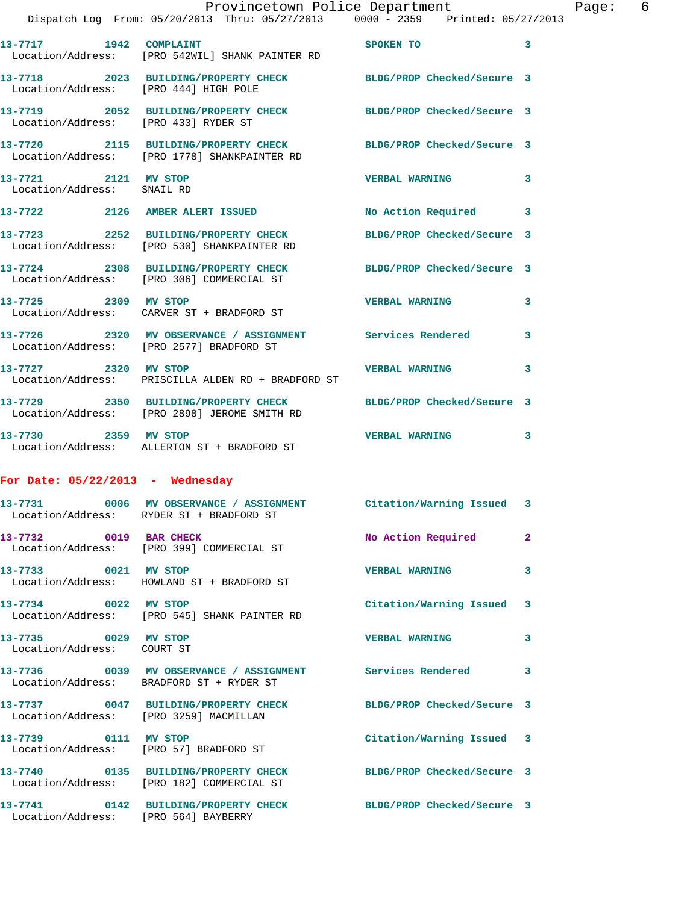|                                                    | Provincetown Police Department<br>Dispatch Log From: 05/20/2013 Thru: 05/27/2013 0000 - 2359 Printed: 05/27/2013 |                       |              | Page: 6 |  |
|----------------------------------------------------|------------------------------------------------------------------------------------------------------------------|-----------------------|--------------|---------|--|
|                                                    | 13-7717 1942 COMPLAINT<br>Location/Address: [PRO 542WIL] SHANK PAINTER RD                                        | SPOKEN TO             | 3            |         |  |
| Location/Address: [PRO 444] HIGH POLE              | 13-7718 2023 BUILDING/PROPERTY CHECK BLDG/PROP Checked/Secure 3                                                  |                       |              |         |  |
| Location/Address: [PRO 433] RYDER ST               | 13-7719 2052 BUILDING/PROPERTY CHECK BLDG/PROP Checked/Secure 3                                                  |                       |              |         |  |
|                                                    | 13-7720 2115 BUILDING/PROPERTY CHECK BLDG/PROP Checked/Secure 3<br>Location/Address: [PRO 1778] SHANKPAINTER RD  |                       |              |         |  |
| 13-7721 2121 MV STOP<br>Location/Address: SNAIL RD |                                                                                                                  | <b>VERBAL WARNING</b> | $\mathbf{3}$ |         |  |
|                                                    | 13-7722 2126 AMBER ALERT ISSUED No Action Required 3                                                             |                       |              |         |  |
|                                                    | 13-7723 2252 BUILDING/PROPERTY CHECK BLDG/PROP Checked/Secure 3<br>Location/Address: [PRO 530] SHANKPAINTER RD   |                       |              |         |  |
|                                                    | 13-7724 2308 BUILDING/PROPERTY CHECK BLDG/PROP Checked/Secure 3<br>Location/Address: [PRO 306] COMMERCIAL ST     |                       |              |         |  |
|                                                    | 13-7725 2309 MV STOP<br>Location/Address: CARVER ST + BRADFORD ST                                                | <b>VERBAL WARNING</b> | 3            |         |  |
|                                                    | 13-7726 2320 MV OBSERVANCE / ASSIGNMENT Services Rendered 3<br>Location/Address: [PRO 2577] BRADFORD ST          |                       |              |         |  |
|                                                    | 13-7727 2320 MV STOP 2008 2009 2320 MV STOP<br>Location/Address: PRISCILLA ALDEN RD + BRADFORD ST                |                       | 3            |         |  |
|                                                    | 13-7729 2350 BUILDING/PROPERTY CHECK BLDG/PROP Checked/Secure 3<br>Location/Address: [PRO 2898] JEROME SMITH RD  |                       |              |         |  |
|                                                    | 13-7730 2359 MV STOP<br>Location/Address: ALLERTON ST + BRADFORD ST                                              | <b>VERBAL WARNING</b> | 3            |         |  |

## **For Date: 05/22/2013 - Wednesday**

|                                                                | 13-7731 6006 MV OBSERVANCE / ASSIGNMENT Citation/Warning Issued 3<br>Location/Address: RYDER ST + BRADFORD ST |                           |              |
|----------------------------------------------------------------|---------------------------------------------------------------------------------------------------------------|---------------------------|--------------|
| 13-7732 0019 BAR CHECK                                         | Location/Address: [PRO 399] COMMERCIAL ST                                                                     | No Action Required 2      |              |
| 13-7733 0021 MV STOP                                           | Location/Address: HOWLAND ST + BRADFORD ST                                                                    | <b>VERBAL WARNING</b>     | 3            |
|                                                                | 13-7734 0022 MV STOP<br>Location/Address: [PRO 545] SHANK PAINTER RD                                          | Citation/Warning Issued 3 |              |
| 13-7735 0029 MV STOP<br>Location/Address: COURT ST             |                                                                                                               | <b>VERBAL WARNING</b>     | $\mathbf{3}$ |
|                                                                | 13-7736 6039 MV OBSERVANCE / ASSIGNMENT Services Rendered<br>Location/Address: BRADFORD ST + RYDER ST         |                           | $\mathbf{3}$ |
| Location/Address: [PRO 3259] MACMILLAN                         | 13-7737 0047 BUILDING/PROPERTY CHECK BLDG/PROP Checked/Secure 3                                               |                           |              |
| 13-7739 0111 MV STOP<br>Location/Address: [PRO 57] BRADFORD ST |                                                                                                               | Citation/Warning Issued 3 |              |
|                                                                | 13-7740 0135 BUILDING/PROPERTY CHECK BLDG/PROP Checked/Secure 3<br>Location/Address: [PRO 182] COMMERCIAL ST  |                           |              |
| Location/Address: [PRO 564] BAYBERRY                           | 13-7741 0142 BUILDING/PROPERTY CHECK BLDG/PROP Checked/Secure 3                                               |                           |              |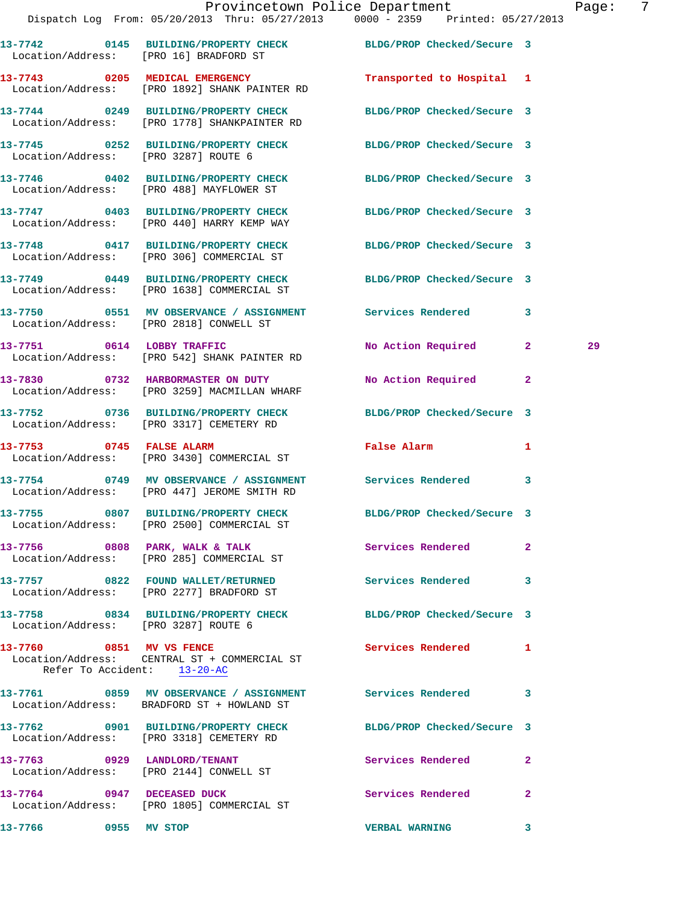|                                                         | Dispatch Log From: 05/20/2013 Thru: 05/27/2013 0000 - 2359 Printed: 05/27/2013                                |                            |                |    |
|---------------------------------------------------------|---------------------------------------------------------------------------------------------------------------|----------------------------|----------------|----|
|                                                         | 13-7742 0145 BUILDING/PROPERTY CHECK BLDG/PROP Checked/Secure 3<br>Location/Address: [PRO 16] BRADFORD ST     |                            |                |    |
|                                                         | 13-7743 0205 MEDICAL EMERGENCY<br>Location/Address: [PRO 1892] SHANK PAINTER RD                               | Transported to Hospital 1  |                |    |
|                                                         | 13-7744 0249 BUILDING/PROPERTY CHECK<br>Location/Address: [PRO 1778] SHANKPAINTER RD                          | BLDG/PROP Checked/Secure 3 |                |    |
| Location/Address: [PRO 3287] ROUTE 6                    | 13-7745 0252 BUILDING/PROPERTY CHECK BLDG/PROP Checked/Secure 3                                               |                            |                |    |
|                                                         | 13-7746 0402 BUILDING/PROPERTY CHECK<br>Location/Address: [PRO 488] MAYFLOWER ST                              | BLDG/PROP Checked/Secure 3 |                |    |
|                                                         | 13-7747 0403 BUILDING/PROPERTY CHECK<br>Location/Address: [PRO 440] HARRY KEMP WAY                            | BLDG/PROP Checked/Secure 3 |                |    |
|                                                         | 13-7748 0417 BUILDING/PROPERTY CHECK BLDG/PROP Checked/Secure 3<br>Location/Address: [PRO 306] COMMERCIAL ST  |                            |                |    |
|                                                         | 13-7749 0449 BUILDING/PROPERTY CHECK BLDG/PROP Checked/Secure 3<br>Location/Address: [PRO 1638] COMMERCIAL ST |                            |                |    |
|                                                         | 13-7750 0551 MV OBSERVANCE / ASSIGNMENT Services Rendered<br>Location/Address: [PRO 2818] CONWELL ST          |                            | 3              |    |
|                                                         | 13-7751 0614 LOBBY TRAFFIC<br>Location/Address: [PRO 542] SHANK PAINTER RD                                    | No Action Required 2       |                | 29 |
|                                                         | 13-7830 0732 HARBORMASTER ON DUTY<br>Location/Address: [PRO 3259] MACMILLAN WHARF                             | No Action Required         | $\mathbf{2}$   |    |
|                                                         | 13-7752 0736 BUILDING/PROPERTY CHECK<br>Location/Address: [PRO 3317] CEMETERY RD                              | BLDG/PROP Checked/Secure 3 |                |    |
| 13-7753 0745 FALSE ALARM                                | Location/Address: [PRO 3430] COMMERCIAL ST                                                                    | False Alarm                | 1              |    |
|                                                         | 13-7754 0749 MV OBSERVANCE / ASSIGNMENT Services Rendered 3<br>Location/Address: [PRO 447] JEROME SMITH RD    |                            |                |    |
|                                                         | 13-7755 0807 BUILDING/PROPERTY CHECK BLDG/PROP Checked/Secure 3<br>Location/Address: [PRO 2500] COMMERCIAL ST |                            |                |    |
|                                                         | 13-7756 6808 PARK, WALK & TALK 6 Services Rendered<br>Location/Address: [PRO 285] COMMERCIAL ST               |                            | $\mathbf{2}$   |    |
|                                                         | 13-7757 0822 FOUND WALLET/RETURNED<br>Location/Address: [PRO 2277] BRADFORD ST                                | Services Rendered 3        |                |    |
| Location/Address: [PRO 3287] ROUTE 6                    | 13-7758 0834 BUILDING/PROPERTY CHECK BLDG/PROP Checked/Secure 3                                               |                            |                |    |
| 13-7760 0851 MV VS FENCE<br>Refer To Accident: 13-20-AC | Location/Address: CENTRAL ST + COMMERCIAL ST                                                                  | <b>Services Rendered</b>   | $\mathbf{1}$   |    |
|                                                         | 13-7761 0859 MV OBSERVANCE / ASSIGNMENT Services Rendered 3<br>Location/Address: BRADFORD ST + HOWLAND ST     |                            |                |    |
|                                                         | 13-7762 0901 BUILDING/PROPERTY CHECK<br>Location/Address: [PRO 3318] CEMETERY RD                              | BLDG/PROP Checked/Secure 3 |                |    |
|                                                         | 13-7763 0929 LANDLORD/TENANT<br>Location/Address: [PRO 2144] CONWELL ST                                       | Services Rendered          | $\mathbf{2}$   |    |
| 13-7764 0947 DECEASED DUCK                              | Location/Address: [PRO 1805] COMMERCIAL ST                                                                    | Services Rendered          | $\overline{2}$ |    |
| 0955 MV STOP<br>13-7766                                 |                                                                                                               | <b>VERBAL WARNING</b>      | 3              |    |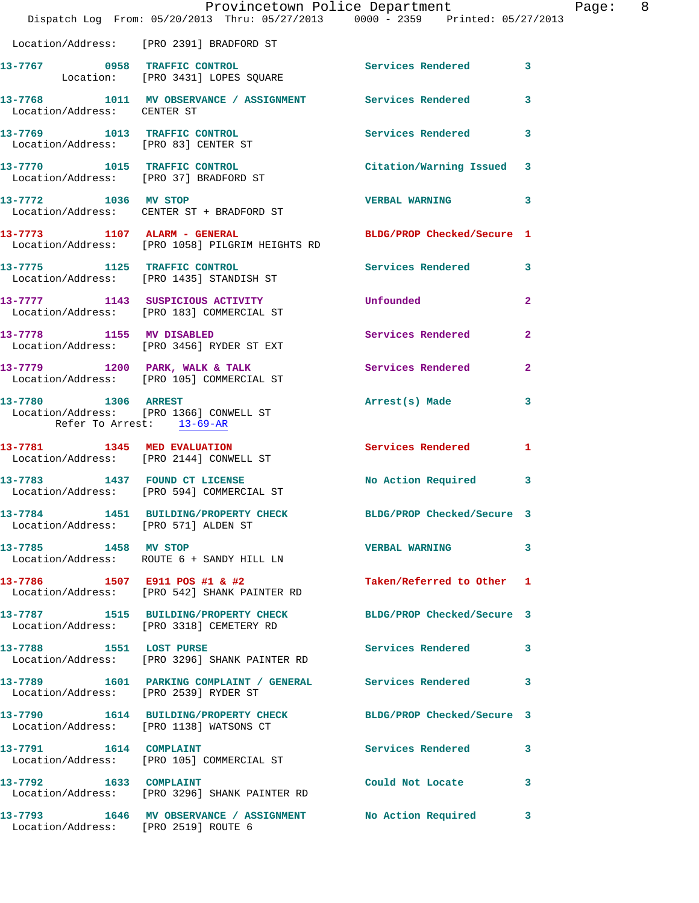|                                                  | Provincetown Police Department<br>Dispatch Log From: 05/20/2013 Thru: 05/27/2013 0000 - 2359 Printed: 05/27/2013 |                           | Page: 8      |  |
|--------------------------------------------------|------------------------------------------------------------------------------------------------------------------|---------------------------|--------------|--|
|                                                  | Location/Address: [PRO 2391] BRADFORD ST                                                                         |                           |              |  |
|                                                  | 13-7767 0958 TRAFFIC CONTROL<br>Location: [PRO 3431] LOPES SQUARE                                                | Services Rendered 3       |              |  |
| Location/Address: CENTER ST                      | 13-7768 1011 MV OBSERVANCE / ASSIGNMENT Services Rendered 3                                                      |                           |              |  |
| 13-7769 1013 TRAFFIC CONTROL                     | Location/Address: [PRO 83] CENTER ST                                                                             | Services Rendered 3       |              |  |
|                                                  | 13-7770 1015 TRAFFIC CONTROL Control Citation/Warning Issued 3<br>Location/Address: [PRO 37] BRADFORD ST         |                           |              |  |
|                                                  | 13-7772 1036 MV STOP<br>Location/Address: CENTER ST + BRADFORD ST                                                | VERBAL WARNING 3          |              |  |
|                                                  | 13-7773 1107 ALARM - GENERAL BLDG/PROP Checked/Secure 1<br>Location/Address: [PRO 1058] PILGRIM HEIGHTS RD       |                           |              |  |
|                                                  | 13-7775 1125 TRAFFIC CONTROL Services Rendered 3<br>Location/Address: [PRO 1435] STANDISH ST                     |                           |              |  |
|                                                  | 13-7777 1143 SUSPICIOUS ACTIVITY<br>Location/Address: [PRO 183] COMMERCIAL ST                                    | Unfounded                 | $\mathbf{2}$ |  |
|                                                  | 13-7778 1155 MV DISABLED<br>Location/Address: [PRO 3456] RYDER ST EXT                                            | Services Rendered 2       |              |  |
|                                                  | 13-7779 1200 PARK, WALK & TALK Services Rendered 2<br>Location/Address: [PRO 105] COMMERCIAL ST                  |                           |              |  |
| 13-7780 1306 ARREST<br>Refer To Arrest: 13-69-AR | Location/Address: [PRO 1366] CONWELL ST                                                                          | Arrest(s) Made            | $\mathbf{3}$ |  |
|                                                  | 13-7781 1345 MED EVALUATION<br>Location/Address: [PRO 2144] CONWELL ST                                           | Services Rendered 1       |              |  |
|                                                  | 13-7783 1437 FOUND CT LICENSE<br>Location/Address: [PRO 594] COMMERCIAL ST                                       | No Action Required 3      |              |  |
| Location/Address: [PRO 571] ALDEN ST             | 13-7784 1451 BUILDING/PROPERTY CHECK BLDG/PROP Checked/Secure 3                                                  |                           |              |  |
| 13-7785 1458 MV STOP                             | Location/Address: ROUTE 6 + SANDY HILL LN                                                                        | VERBAL WARNING 3          |              |  |
|                                                  | 13-7786 1507 E911 POS #1 & #2<br>Location/Address: [PRO 542] SHANK PAINTER RD                                    | Taken/Referred to Other 1 |              |  |
|                                                  | 13-7787 1515 BUILDING/PROPERTY CHECK BLDG/PROP Checked/Secure 3<br>Location/Address: [PRO 3318] CEMETERY RD      |                           |              |  |
|                                                  | 13-7788 1551 LOST PURSE<br>Location/Address: [PRO 3296] SHANK PAINTER RD                                         | Services Rendered 3       |              |  |
|                                                  | 13-7789 1601 PARKING COMPLAINT / GENERAL Services Rendered 3<br>Location/Address: [PRO 2539] RYDER ST            |                           |              |  |
|                                                  | 13-7790 1614 BUILDING/PROPERTY CHECK BLDG/PROP Checked/Secure 3<br>Location/Address: [PRO 1138] WATSONS CT       |                           |              |  |
|                                                  | 13-7791 1614 COMPLAINT<br>Location/Address: [PRO 105] COMMERCIAL ST                                              | Services Rendered 3       |              |  |
|                                                  | 13-7792 1633 COMPLAINT<br>Location/Address: [PRO 3296] SHANK PAINTER RD                                          | Could Not Locate 3        |              |  |
| Location/Address: [PRO 2519] ROUTE 6             | 13-7793 1646 MV OBSERVANCE / ASSIGNMENT No Action Required 3                                                     |                           |              |  |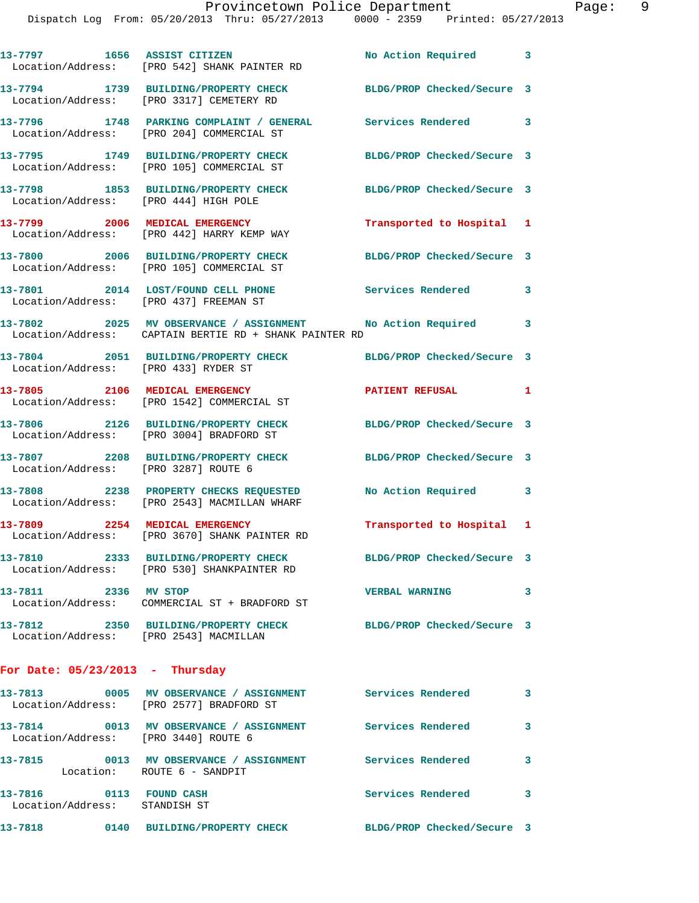|                                                          | 13-7797 1656 ASSIST CITIZEN<br>Location/Address: [PRO 542] SHANK PAINTER RD                                            | No Action Required 3       |                         |
|----------------------------------------------------------|------------------------------------------------------------------------------------------------------------------------|----------------------------|-------------------------|
|                                                          | 13-7794 1739 BUILDING/PROPERTY CHECK<br>Location/Address: [PRO 3317] CEMETERY RD                                       | BLDG/PROP Checked/Secure 3 |                         |
|                                                          | 13-7796 1748 PARKING COMPLAINT / GENERAL Services Rendered<br>Location/Address: [PRO 204] COMMERCIAL ST                |                            | $\overline{\mathbf{3}}$ |
|                                                          | 13-7795 1749 BUILDING/PROPERTY CHECK<br>Location/Address: [PRO 105] COMMERCIAL ST                                      | BLDG/PROP Checked/Secure 3 |                         |
|                                                          | 13-7798 1853 BUILDING/PROPERTY CHECK<br>Location/Address: [PRO 444] HIGH POLE                                          | BLDG/PROP Checked/Secure 3 |                         |
|                                                          | 13-7799 2006 MEDICAL EMERGENCY<br>Location/Address: [PRO 442] HARRY KEMP WAY                                           | Transported to Hospital 1  |                         |
|                                                          | 13-7800 2006 BUILDING/PROPERTY CHECK<br>Location/Address: [PRO 105] COMMERCIAL ST                                      | BLDG/PROP Checked/Secure 3 |                         |
|                                                          | 13-7801 2014 LOST/FOUND CELL PHONE<br>Location/Address: [PRO 437] FREEMAN ST                                           | <b>Services Rendered</b>   | 3                       |
|                                                          | 13-7802 2025 MV OBSERVANCE / ASSIGNMENT No Action Required 3<br>Location/Address: CAPTAIN BERTIE RD + SHANK PAINTER RD |                            |                         |
| Location/Address: [PRO 433] RYDER ST                     | 13-7804 2051 BUILDING/PROPERTY CHECK BLDG/PROP Checked/Secure 3                                                        |                            |                         |
|                                                          | 13-7805 2106 MEDICAL EMERGENCY<br>Location/Address: [PRO 1542] COMMERCIAL ST                                           | PATIENT REFUSAL            | $\mathbf{1}$            |
|                                                          | 13-7806 2126 BUILDING/PROPERTY CHECK<br>Location/Address: [PRO 3004] BRADFORD ST                                       | BLDG/PROP Checked/Secure 3 |                         |
| Location/Address: [PRO 3287] ROUTE 6                     | 13-7807 2208 BUILDING/PROPERTY CHECK BLDG/PROP Checked/Secure 3                                                        |                            |                         |
|                                                          | 13-7808 2238 PROPERTY CHECKS REQUESTED<br>Location/Address: [PRO 2543] MACMILLAN WHARF                                 | <b>No Action Required</b>  | 3                       |
| 13-7809 2254 MEDICAL EMERGENCY                           | Location/Address: [PRO 3670] SHANK PAINTER RD                                                                          | Transported to Hospital 1  |                         |
|                                                          | 13-7810 2333 BUILDING/PROPERTY CHECK BLDG/PROP Checked/Secure 3<br>Location/Address: [PRO 530] SHANKPAINTER RD         |                            |                         |
| 13-7811 2336 MV STOP                                     | Location/Address: COMMERCIAL ST + BRADFORD ST                                                                          | <b>VERBAL WARNING</b>      | 3                       |
| Location/Address: [PRO 2543] MACMILLAN                   | 13-7812 2350 BUILDING/PROPERTY CHECK BLDG/PROP Checked/Secure 3                                                        |                            |                         |
| For Date: $05/23/2013$ - Thursday                        |                                                                                                                        |                            |                         |
|                                                          | 13-7813 0005 MV OBSERVANCE / ASSIGNMENT Services Rendered<br>Location/Address: [PRO 2577] BRADFORD ST                  |                            | $\overline{\mathbf{3}}$ |
| Location/Address: [PRO 3440] ROUTE 6                     | 13-7814 0013 MV OBSERVANCE / ASSIGNMENT Services Rendered                                                              |                            | $\overline{\mathbf{3}}$ |
| Location: ROUTE 6 - SANDPIT                              | 13-7815 0013 MV OBSERVANCE / ASSIGNMENT Services Rendered                                                              |                            | 3                       |
| 13-7816 0113 FOUND CASH<br>Location/Address: STANDISH ST |                                                                                                                        | Services Rendered          | 3                       |
|                                                          | 13-7818 0140 BUILDING/PROPERTY CHECK BLDG/PROP Checked/Secure 3                                                        |                            |                         |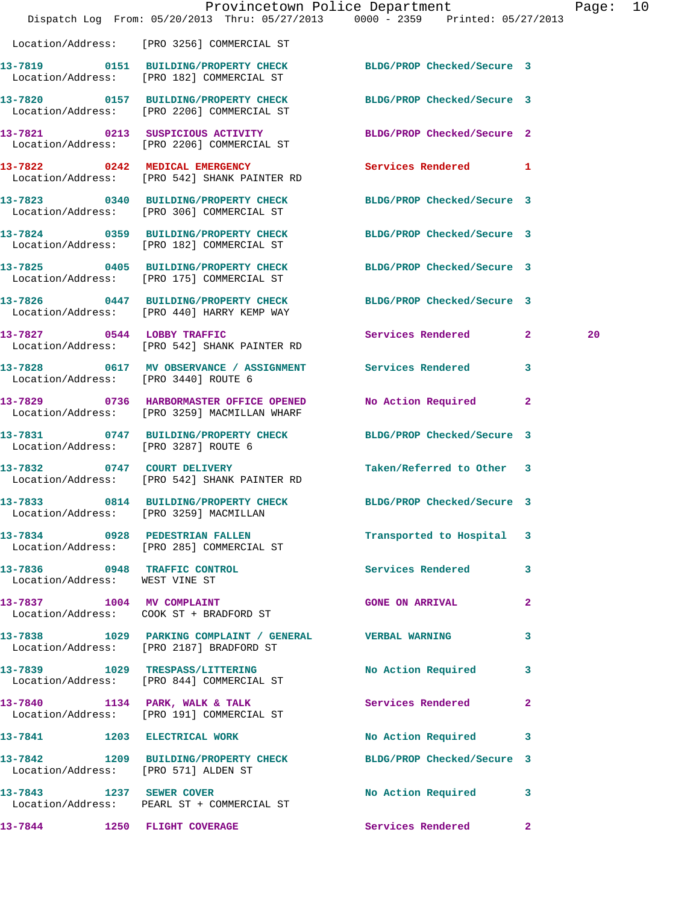|                                      |                                                                                                               | Provincetown Police Department<br>Dispatch Log From: 05/20/2013 Thru: 05/27/2013 0000 - 2359 Printed: 05/27/2013 | Page: | 10 |
|--------------------------------------|---------------------------------------------------------------------------------------------------------------|------------------------------------------------------------------------------------------------------------------|-------|----|
|                                      | Location/Address: [PRO 3256] COMMERCIAL ST                                                                    |                                                                                                                  |       |    |
|                                      | 13-7819 0151 BUILDING/PROPERTY CHECK BLDG/PROP Checked/Secure 3<br>Location/Address: [PRO 182] COMMERCIAL ST  |                                                                                                                  |       |    |
|                                      | 13-7820 0157 BUILDING/PROPERTY CHECK<br>Location/Address: [PRO 2206] COMMERCIAL ST                            | BLDG/PROP Checked/Secure 3                                                                                       |       |    |
|                                      | 13-7821 0213 SUSPICIOUS ACTIVITY<br>Location/Address: [PRO 2206] COMMERCIAL ST                                | BLDG/PROP Checked/Secure 2                                                                                       |       |    |
|                                      | 13-7822 0242 MEDICAL EMERGENCY<br>Location/Address: [PRO 542] SHANK PAINTER RD                                | Services Rendered 1                                                                                              |       |    |
|                                      | 13-7823 0340 BUILDING/PROPERTY CHECK<br>Location/Address: [PRO 306] COMMERCIAL ST                             | BLDG/PROP Checked/Secure 3                                                                                       |       |    |
|                                      | 13-7824 0359 BUILDING/PROPERTY CHECK<br>Location/Address: [PRO 182] COMMERCIAL ST                             | BLDG/PROP Checked/Secure 3                                                                                       |       |    |
|                                      | 13-7825 0405 BUILDING/PROPERTY CHECK BLDG/PROP Checked/Secure 3<br>Location/Address: [PRO 175] COMMERCIAL ST  |                                                                                                                  |       |    |
|                                      | 13-7826 0447 BUILDING/PROPERTY CHECK BLDG/PROP Checked/Secure 3<br>Location/Address: [PRO 440] HARRY KEMP WAY |                                                                                                                  |       |    |
| 13-7827 0544 LOBBY TRAFFIC           | Location/Address: [PRO 542] SHANK PAINTER RD                                                                  | Services Rendered 2                                                                                              | 20    |    |
| Location/Address: [PRO 3440] ROUTE 6 | 13-7828 0617 MV OBSERVANCE / ASSIGNMENT Services Rendered                                                     | $\mathbf{3}$                                                                                                     |       |    |
|                                      | 13-7829 0736 HARBORMASTER OFFICE OPENED<br>Location/Address: [PRO 3259] MACMILLAN WHARF                       | No Action Required 2                                                                                             |       |    |
| Location/Address: [PRO 3287] ROUTE 6 | 13-7831 0747 BUILDING/PROPERTY CHECK BLDG/PROP Checked/Secure 3                                               |                                                                                                                  |       |    |
|                                      | 13-7832 0747 COURT DELIVERY<br>Location/Address: [PRO 542] SHANK PAINTER RD                                   | Taken/Referred to Other 3                                                                                        |       |    |
|                                      | 13-7833 0814 BUILDING/PROPERTY CHECK BLDG/PROP Checked/Secure 3<br>Location/Address: [PRO 3259] MACMILLAN     |                                                                                                                  |       |    |
|                                      | 13-7834 0928 PEDESTRIAN FALLEN<br>Location/Address: [PRO 285] COMMERCIAL ST                                   | Transported to Hospital 3                                                                                        |       |    |
| Location/Address: WEST VINE ST       | 13-7836 0948 TRAFFIC CONTROL                                                                                  | Services Rendered 3                                                                                              |       |    |
|                                      | 13-7837 1004 MV COMPLAINT<br>Location/Address: COOK ST + BRADFORD ST                                          | GONE ON ARRIVAL 2                                                                                                |       |    |
|                                      | 13-7838 1029 PARKING COMPLAINT / GENERAL WERBAL WARNING<br>Location/Address: [PRO 2187] BRADFORD ST           | 3                                                                                                                |       |    |
|                                      | 13-7839 1029 TRESPASS/LITTERING No Action Required 3<br>Location/Address: [PRO 844] COMMERCIAL ST             |                                                                                                                  |       |    |
|                                      | 13-7840 1134 PARK, WALK & TALK<br>Location/Address: [PRO 191] COMMERCIAL ST                                   | Services Rendered<br>$\mathbf{2}$                                                                                |       |    |
|                                      | 13-7841 1203 ELECTRICAL WORK                                                                                  | No Action Required 3                                                                                             |       |    |
| Location/Address: [PRO 571] ALDEN ST | 13-7842 1209 BUILDING/PROPERTY CHECK BLDG/PROP Checked/Secure 3                                               |                                                                                                                  |       |    |
| 13-7843 1237 SEWER COVER             | Location/Address: PEARL ST + COMMERCIAL ST                                                                    | No Action Required 3                                                                                             |       |    |
|                                      | 13-7844 1250 FLIGHT COVERAGE <b>120 Services</b> Rendered 2                                                   |                                                                                                                  |       |    |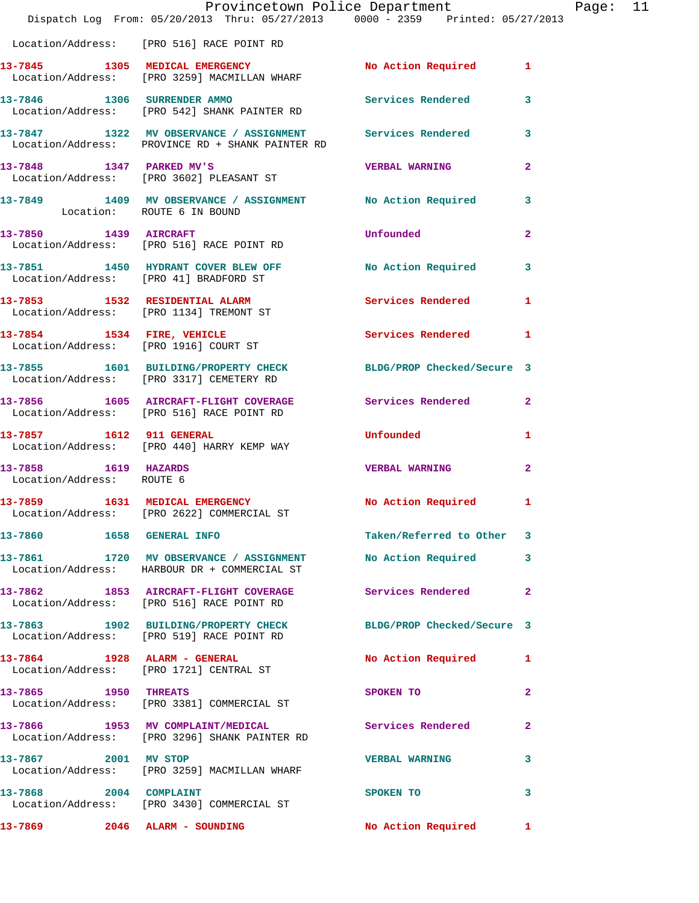|                                                   | Dispatch Log From: 05/20/2013 Thru: 05/27/2013 0000 - 2359 Printed: 05/27/2013                                  | Provincetown Police Department                    |              | Page: 11 |  |
|---------------------------------------------------|-----------------------------------------------------------------------------------------------------------------|---------------------------------------------------|--------------|----------|--|
|                                                   | Location/Address: [PRO 516] RACE POINT RD                                                                       |                                                   |              |          |  |
|                                                   | 13-7845 1305 MEDICAL EMERGENCY No Action Required 1<br>Location/Address: [PRO 3259] MACMILLAN WHARF             |                                                   |              |          |  |
|                                                   | 13-7846 1306 SURRENDER AMMO Services Rendered 3<br>Location/Address: [PRO 542] SHANK PAINTER RD                 |                                                   |              |          |  |
|                                                   | 13-7847 1322 MV OBSERVANCE / ASSIGNMENT Services Rendered 3<br>Location/Address: PROVINCE RD + SHANK PAINTER RD |                                                   |              |          |  |
|                                                   | 13-7848 1347 PARKED MV'S<br>Location/Address: [PRO 3602] PLEASANT ST                                            | <b>VERBAL WARNING</b>                             | $\mathbf{2}$ |          |  |
|                                                   | 13-7849 1409 MV OBSERVANCE / ASSIGNMENT No Action Required 3<br>Location: ROUTE 6 IN BOUND                      |                                                   |              |          |  |
|                                                   | 13-7850 1439 AIRCRAFT<br>Location/Address: [PRO 516] RACE POINT RD                                              | Unfounded                                         | $\mathbf{2}$ |          |  |
|                                                   | 13-7851 1450 HYDRANT COVER BLEW OFF No Action Required 3<br>Location/Address: [PRO 41] BRADFORD ST              |                                                   |              |          |  |
|                                                   | 13-7853 1532 RESIDENTIAL ALARM<br>Location/Address: [PRO 1134] TREMONT ST                                       | Services Rendered 1                               |              |          |  |
|                                                   | 13-7854 1534 FIRE, VEHICLE<br>Location/Address: [PRO 1916] COURT ST                                             | Services Rendered 1                               |              |          |  |
|                                                   | 13-7855 1601 BUILDING/PROPERTY CHECK BLDG/PROP Checked/Secure 3<br>Location/Address: [PRO 3317] CEMETERY RD     |                                                   |              |          |  |
|                                                   | 13-7856 1605 AIRCRAFT-FLIGHT COVERAGE Services Rendered 2<br>Location/Address: [PRO 516] RACE POINT RD          |                                                   |              |          |  |
| 13-7857 1612 911 GENERAL                          | Location/Address: [PRO 440] HARRY KEMP WAY                                                                      | <b>Example 1</b> Informated the state of $\alpha$ | 1            |          |  |
| 13-7858 1619 HAZARDS<br>Location/Address: ROUTE 6 |                                                                                                                 | <b>VERBAL WARNING</b>                             | $\mathbf{2}$ |          |  |
|                                                   | 13-7859 1631 MEDICAL EMERGENCY No Action Required 1<br>Location/Address: [PRO 2622] COMMERCIAL ST               |                                                   |              |          |  |
|                                                   | 13-7860 1658 GENERAL INFO                                                                                       | Taken/Referred to Other 3                         |              |          |  |
|                                                   | 13-7861 1720 MV OBSERVANCE / ASSIGNMENT<br>Location/Address: HARBOUR DR + COMMERCIAL ST                         | No Action Required 3                              |              |          |  |
|                                                   | 13-7862 1853 AIRCRAFT-FLIGHT COVERAGE Services Rendered 2<br>Location/Address: [PRO 516] RACE POINT RD          |                                                   |              |          |  |
|                                                   | 13-7863 1902 BUILDING/PROPERTY CHECK BLDG/PROP Checked/Secure 3<br>Location/Address: [PRO 519] RACE POINT RD    |                                                   |              |          |  |
|                                                   | 13-7864 1928 ALARM - GENERAL<br>Location/Address: [PRO 1721] CENTRAL ST                                         | No Action Required 1                              |              |          |  |
| 13-7865 1950 THREATS                              | Location/Address: [PRO 3381] COMMERCIAL ST                                                                      | SPOKEN TO                                         | 2            |          |  |
|                                                   | 13-7866 1953 MV COMPLAINT/MEDICAL<br>Location/Address: [PRO 3296] SHANK PAINTER RD                              | Services Rendered                                 | $\mathbf{2}$ |          |  |
| 13-7867 2001 MV STOP                              | Location/Address: [PRO 3259] MACMILLAN WHARF                                                                    | VERBAL WARNING 3                                  |              |          |  |
| 13-7868 2004 COMPLAINT                            | Location/Address: [PRO 3430] COMMERCIAL ST                                                                      | SPOKEN TO                                         | 3            |          |  |
|                                                   | 13-7869 2046 ALARM - SOUNDING                                                                                   | No Action Required 1                              |              |          |  |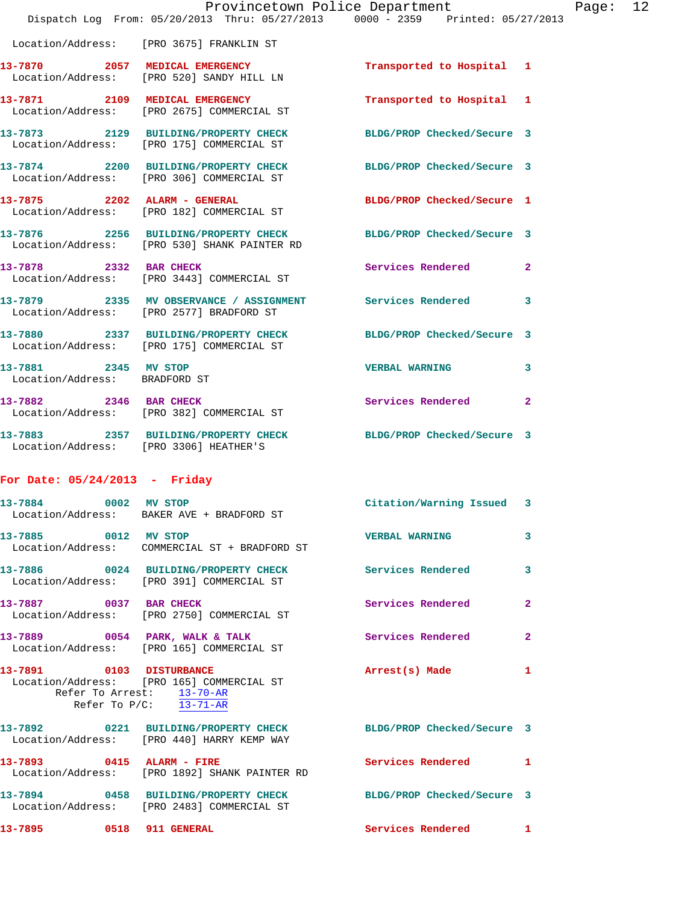|                                                       | Provincetown Police Department<br>Dispatch Log From: 05/20/2013 Thru: 05/27/2013 0000 - 2359 Printed: 05/27/2013 |                            | Page: 12     |
|-------------------------------------------------------|------------------------------------------------------------------------------------------------------------------|----------------------------|--------------|
|                                                       | Location/Address: [PRO 3675] FRANKLIN ST                                                                         |                            |              |
|                                                       | 13-7870 2057 MEDICAL EMERGENCY<br>Location/Address: [PRO 520] SANDY HILL LN                                      | Transported to Hospital 1  |              |
|                                                       | 13-7871 2109 MEDICAL EMERGENCY<br>Location/Address: [PRO 2675] COMMERCIAL ST                                     | Transported to Hospital 1  |              |
|                                                       | 13-7873 2129 BUILDING/PROPERTY CHECK BLDG/PROP Checked/Secure 3<br>Location/Address: [PRO 175] COMMERCIAL ST     |                            |              |
|                                                       | 13-7874 2200 BUILDING/PROPERTY CHECK BLDG/PROP Checked/Secure 3<br>Location/Address: [PRO 306] COMMERCIAL ST     |                            |              |
|                                                       | 13-7875 2202 ALARM - GENERAL<br>Location/Address: [PRO 182] COMMERCIAL ST                                        | BLDG/PROP Checked/Secure 1 |              |
|                                                       | 13-7876 2256 BUILDING/PROPERTY CHECK BLDG/PROP Checked/Secure 3<br>Location/Address: [PRO 530] SHANK PAINTER RD  |                            |              |
|                                                       | 13-7878 2332 BAR CHECK<br>Location/Address: [PRO 3443] COMMERCIAL ST                                             | Services Rendered          | $\mathbf{2}$ |
|                                                       | 13-7879 2335 MV OBSERVANCE / ASSIGNMENT Services Rendered<br>Location/Address: [PRO 2577] BRADFORD ST            |                            | $\mathbf{3}$ |
|                                                       | 13-7880 2337 BUILDING/PROPERTY CHECK<br>Location/Address: [PRO 175] COMMERCIAL ST                                | BLDG/PROP Checked/Secure 3 |              |
| 13-7881 2345 MV STOP<br>Location/Address: BRADFORD ST |                                                                                                                  | <b>VERBAL WARNING</b>      | 3            |
|                                                       | 13-7882 2346 BAR CHECK<br>Location/Address: [PRO 382] COMMERCIAL ST                                              | Services Rendered          | $\mathbf{2}$ |
|                                                       | 13-7883 2357 BUILDING/PROPERTY CHECK                                                                             | BLDG/PROP Checked/Secure 3 |              |

## **For Date: 05/24/2013 - Friday**

Location/Address: [PRO 3306] HEATHER'S

| 13-7895 0518 911 GENERAL  |                                                                                                    | <b>Services Rendered</b>                                        | -1                      |
|---------------------------|----------------------------------------------------------------------------------------------------|-----------------------------------------------------------------|-------------------------|
|                           | Location/Address: [PRO 2483] COMMERCIAL ST                                                         | 13-7894 0458 BUILDING/PROPERTY CHECK BLDG/PROP Checked/Secure 3 |                         |
| 13-7893 0415 ALARM - FIRE | Location/Address: [PRO 1892] SHANK PAINTER RD                                                      | <b>Services Rendered</b>                                        | $\mathbf{1}$            |
|                           | Location/Address: [PRO 440] HARRY KEMP WAY                                                         | 13-7892 0221 BUILDING/PROPERTY CHECK BLDG/PROP Checked/Secure 3 |                         |
| 13-7891 0103 DISTURBANCE  | Location/Address: [PRO 165] COMMERCIAL ST<br>Refer To Arrest: 13-70-AR<br>Refer To $P/C:$ 13-71-AR | Arrest(s) Made                                                  | $\mathbf{1}$            |
|                           | 13-7889 0054 PARK, WALK & TALK<br>Location/Address: [PRO 165] COMMERCIAL ST                        | Services Rendered                                               | $\overline{2}$          |
| 13-7887 0037 BAR CHECK    | Location/Address: [PRO 2750] COMMERCIAL ST                                                         | <b>Services Rendered</b>                                        | $\overline{2}$          |
|                           | Location/Address: [PRO 391] COMMERCIAL ST                                                          | 13-7886  0024 BUILDING/PROPERTY CHECK Services Rendered         | $\overline{\mathbf{3}}$ |
| 13-7885 0012 MV STOP      | Location/Address: COMMERCIAL ST + BRADFORD ST                                                      | <b>VERBAL WARNING</b>                                           | $\overline{\mathbf{3}}$ |
| 13-7884 0002 MV STOP      | Location/Address: BAKER AVE + BRADFORD ST                                                          | Citation/Warning Issued 3                                       |                         |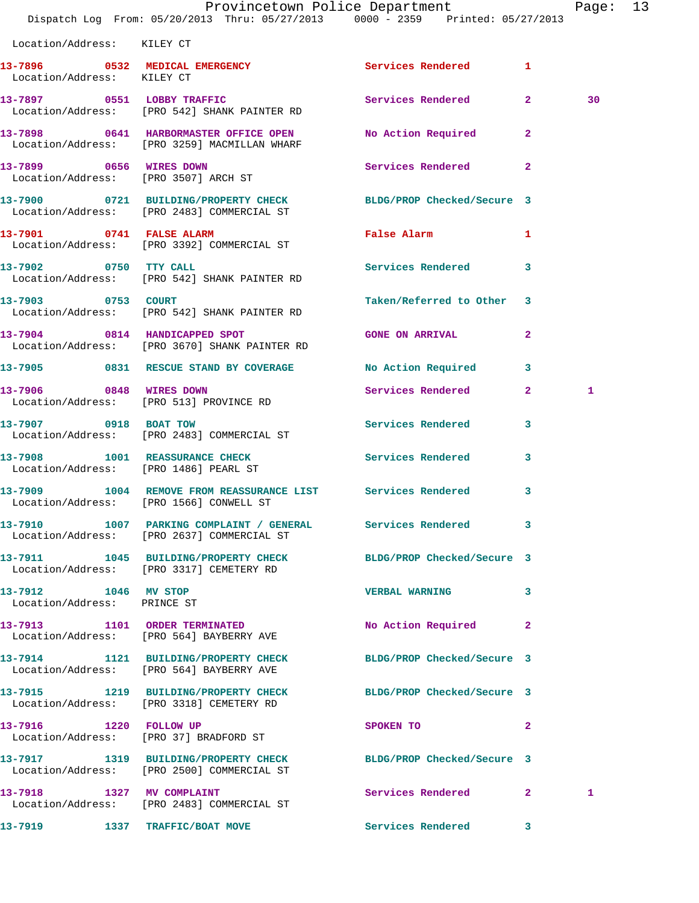|                                                     | Provincetown Police Department<br>Dispatch Log From: 05/20/2013 Thru: 05/27/2013 0000 - 2359 Printed: 05/27/2013 |                            |              | Page: 13 |  |
|-----------------------------------------------------|------------------------------------------------------------------------------------------------------------------|----------------------------|--------------|----------|--|
| Location/Address: KILEY CT                          |                                                                                                                  |                            |              |          |  |
| Location/Address: KILEY CT                          | 13-7896 0532 MEDICAL EMERGENCY Services Rendered 1                                                               |                            |              |          |  |
|                                                     | 13-7897 0551 LOBBY TRAFFIC<br>Location/Address: [PRO 542] SHANK PAINTER RD                                       | Services Rendered 2        |              | 30       |  |
|                                                     | 13-7898 0641 HARBORMASTER OFFICE OPEN<br>Location/Address: [PRO 3259] MACMILLAN WHARF                            | No Action Required 2       |              |          |  |
| 13-7899 0656 WIRES DOWN                             | Location/Address: [PRO 3507] ARCH ST                                                                             | Services Rendered          | $\mathbf{2}$ |          |  |
|                                                     | 13-7900 0721 BUILDING/PROPERTY CHECK BLDG/PROP Checked/Secure 3<br>Location/Address: [PRO 2483] COMMERCIAL ST    |                            |              |          |  |
|                                                     | 13-7901 0741 FALSE ALARM<br>Location/Address: [PRO 3392] COMMERCIAL ST                                           | False Alarm                | 1            |          |  |
|                                                     | 13-7902 0750 TTY CALL<br>Location/Address: [PRO 542] SHANK PAINTER RD                                            | Services Rendered 3        |              |          |  |
| 13-7903 0753 COURT                                  | Location/Address: [PRO 542] SHANK PAINTER RD                                                                     | Taken/Referred to Other 3  |              |          |  |
|                                                     | 13-7904 0814 HANDICAPPED SPOT<br>Location/Address: [PRO 3670] SHANK PAINTER RD                                   | <b>GONE ON ARRIVAL</b>     | $\mathbf{2}$ |          |  |
|                                                     | 13-7905 0831 RESCUE STAND BY COVERAGE                                                                            | No Action Required 3       |              |          |  |
|                                                     | 13-7906 0848 WIRES DOWN<br>Location/Address: [PRO 513] PROVINCE RD                                               | Services Rendered 2        |              | 1        |  |
|                                                     | 13-7907 0918 BOAT TOW<br>Location/Address: [PRO 2483] COMMERCIAL ST                                              | Services Rendered          | 3            |          |  |
|                                                     | 13-7908 1001 REASSURANCE CHECK Services Rendered 3<br>Location/Address: [PRO 1486] PEARL ST                      |                            |              |          |  |
|                                                     | 13-7909 1004 REMOVE FROM REASSURANCE LIST Services Rendered<br>Location/Address: [PRO 1566] CONWELL ST           |                            | 3            |          |  |
|                                                     | 13-7910 1007 PARKING COMPLAINT / GENERAL Services Rendered 3<br>Location/Address: [PRO 2637] COMMERCIAL ST       |                            |              |          |  |
|                                                     | 13-7911 1045 BUILDING/PROPERTY CHECK BLDG/PROP Checked/Secure 3<br>Location/Address: [PRO 3317] CEMETERY RD      |                            |              |          |  |
| 13-7912 1046 MV STOP<br>Location/Address: PRINCE ST |                                                                                                                  | <b>VERBAL WARNING</b>      | 3            |          |  |
|                                                     | 13-7913 1101 ORDER TERMINATED<br>Location/Address: [PRO 564] BAYBERRY AVE                                        | No Action Required 2       |              |          |  |
|                                                     | 13-7914 1121 BUILDING/PROPERTY CHECK<br>Location/Address: [PRO 564] BAYBERRY AVE                                 | BLDG/PROP Checked/Secure 3 |              |          |  |
|                                                     | 13-7915 1219 BUILDING/PROPERTY CHECK BLDG/PROP Checked/Secure 3<br>Location/Address: [PRO 3318] CEMETERY RD      |                            |              |          |  |
| 13-7916 1220 FOLLOW UP                              | Location/Address: [PRO 37] BRADFORD ST                                                                           | SPOKEN TO                  | $\mathbf{2}$ |          |  |
|                                                     | 13-7917 1319 BUILDING/PROPERTY CHECK BLDG/PROP Checked/Secure 3<br>Location/Address: [PRO 2500] COMMERCIAL ST    |                            |              |          |  |
|                                                     | 13-7918 1327 MV COMPLAINT<br>Location/Address: [PRO 2483] COMMERCIAL ST                                          | Services Rendered 2        |              | 1        |  |
|                                                     | 13-7919 1337 TRAFFIC/BOAT MOVE                                                                                   | Services Rendered 3        |              |          |  |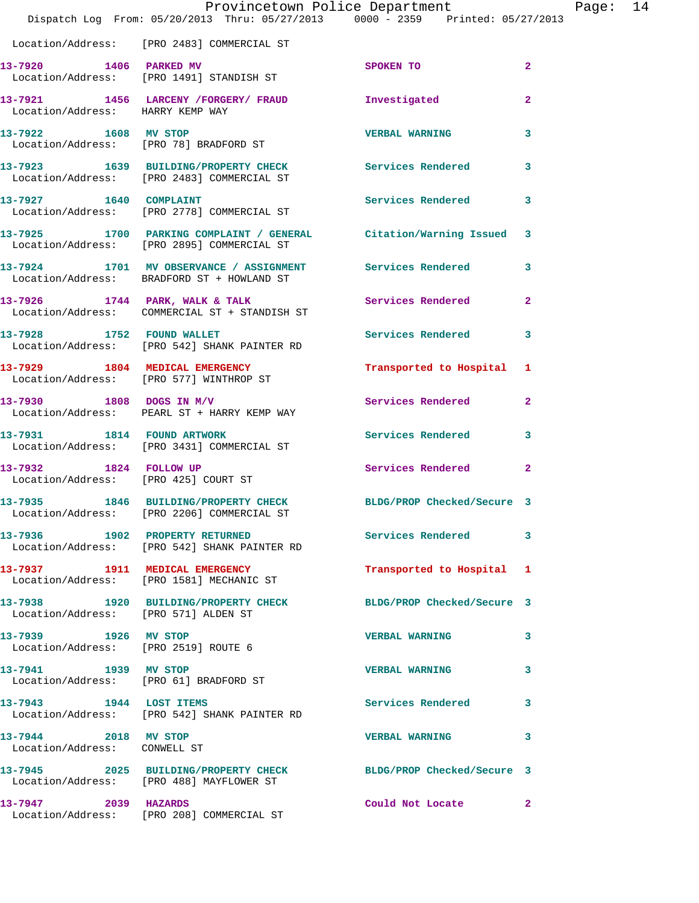|                                                                | Provincetown Police Department<br>Dispatch Log From: 05/20/2013 Thru: 05/27/2013 0000 - 2359 Printed: 05/27/2013 |                            |                |
|----------------------------------------------------------------|------------------------------------------------------------------------------------------------------------------|----------------------------|----------------|
|                                                                | Location/Address: [PRO 2483] COMMERCIAL ST                                                                       |                            |                |
| 13-7920 1406 PARKED MV                                         | Location/Address: [PRO 1491] STANDISH ST                                                                         | SPOKEN TO                  | $\mathbf{2}$   |
| Location/Address: HARRY KEMP WAY                               | 13-7921 1456 LARCENY /FORGERY/ FRAUD 1nvestigated                                                                |                            | $\mathbf{2}$   |
| 13-7922 1608 MV STOP                                           | Location/Address: [PRO 78] BRADFORD ST                                                                           | <b>VERBAL WARNING</b>      | 3              |
|                                                                | 13-7923 1639 BUILDING/PROPERTY CHECK Services Rendered<br>Location/Address: [PRO 2483] COMMERCIAL ST             |                            | 3              |
| 13-7927 1640 COMPLAINT                                         | Location/Address: [PRO 2778] COMMERCIAL ST                                                                       | <b>Services Rendered</b>   | 3              |
|                                                                | 13-7925 1700 PARKING COMPLAINT / GENERAL Citation/Warning Issued<br>Location/Address: [PRO 2895] COMMERCIAL ST   |                            | 3              |
|                                                                | 13-7924 1701 MV OBSERVANCE / ASSIGNMENT<br>Location/Address: BRADFORD ST + HOWLAND ST                            | <b>Services Rendered</b>   | 3              |
|                                                                | $13-7926$ 1744 PARK, WALK & TALK<br>Location/Address: COMMERCIAL ST + STANDISH ST                                | <b>Services Rendered</b>   | $\mathbf{2}$   |
| 13-7928 1752 FOUND WALLET                                      | Location/Address: [PRO 542] SHANK PAINTER RD                                                                     | <b>Services Rendered</b>   | 3              |
|                                                                | 13-7929 1804 MEDICAL EMERGENCY<br>Location/Address: [PRO 577] WINTHROP ST                                        | Transported to Hospital    | 1              |
| 13-7930 1808 DOGS IN M/V                                       | Location/Address: PEARL ST + HARRY KEMP WAY                                                                      | Services Rendered          | $\overline{a}$ |
|                                                                | 13-7931 1814 FOUND ARTWORK<br>Location/Address: [PRO 3431] COMMERCIAL ST                                         | <b>Services Rendered</b>   | 3              |
| 13-7932 1824 FOLLOW UP                                         | Location/Address: [PRO 425] COURT ST                                                                             | Services Rendered          | $\overline{2}$ |
|                                                                | 13-7935 1846 BUILDING/PROPERTY CHECK<br>Location/Address: [PRO 2206] COMMERCIAL ST                               | BLDG/PROP Checked/Secure 3 |                |
|                                                                | 13-7936 1902 PROPERTY RETURNED<br>Location/Address: [PRO 542] SHANK PAINTER RD                                   | <b>Services Rendered</b>   | 3              |
|                                                                | 13-7937 1911 MEDICAL EMERGENCY<br>Location/Address: [PRO 1581] MECHANIC ST                                       | Transported to Hospital    | 1              |
| Location/Address: [PRO 571] ALDEN ST                           | 13-7938 1920 BUILDING/PROPERTY CHECK                                                                             | BLDG/PROP Checked/Secure 3 |                |
| 13-7939 1926 MV STOP<br>Location/Address: [PRO 2519] ROUTE 6   |                                                                                                                  | <b>VERBAL WARNING</b>      | 3              |
| 13-7941 1939 MV STOP<br>Location/Address: [PRO 61] BRADFORD ST |                                                                                                                  | <b>VERBAL WARNING</b>      | 3              |
|                                                                | 13-7943 1944 LOST ITEMS<br>Location/Address: [PRO 542] SHANK PAINTER RD                                          | <b>Services Rendered</b>   | 3              |
| 13-7944 2018 MV STOP<br>Location/Address: CONWELL ST           |                                                                                                                  | <b>VERBAL WARNING</b>      | 3              |
|                                                                | 13-7945 2025 BUILDING/PROPERTY CHECK BLDG/PROP Checked/Secure 3<br>Location/Address: [PRO 488] MAYFLOWER ST      |                            |                |
| 13-7947 2039 HAZARDS                                           | Location/Address: [PRO 208] COMMERCIAL ST                                                                        | Could Not Locate           | 2              |

Page:  $14$ <br>013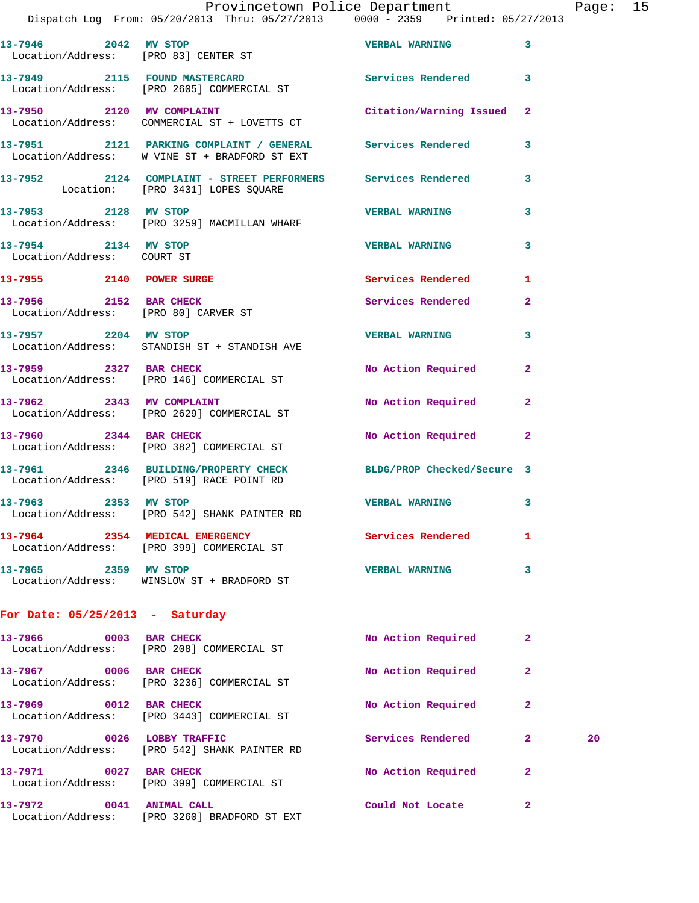## Provincetown Police Department Page: 15

Dispatch Log From: 05/20/2013 Thru: 05/27/2013 0000 - 2359 Printed: 05/27/2013

|                                                                | 13-7946 2042 MV STOP<br>Location/Address: [PRO 83] CENTER ST                                                | <b>VERBAL WARNING</b>      | 3              |    |
|----------------------------------------------------------------|-------------------------------------------------------------------------------------------------------------|----------------------------|----------------|----|
|                                                                | 13-7949 2115 FOUND MASTERCARD<br>Location/Address: [PRO 2605] COMMERCIAL ST                                 | Services Rendered 3        |                |    |
|                                                                | 13-7950 2120 MV COMPLAINT<br>Location/Address: COMMERCIAL ST + LOVETTS CT                                   | Citation/Warning Issued    | 2              |    |
|                                                                | 13-7951 2121 PARKING COMPLAINT / GENERAL Services Rendered<br>Location/Address: W VINE ST + BRADFORD ST EXT |                            | 3              |    |
|                                                                | 13-7952 2124 COMPLAINT - STREET PERFORMERS Services Rendered<br>Location: [PRO 3431] LOPES SQUARE           |                            | 3              |    |
| 13-7953 2128 MV STOP                                           | Location/Address: [PRO 3259] MACMILLAN WHARF                                                                | <b>VERBAL WARNING</b>      | 3              |    |
| 13-7954 2134 MV STOP<br>Location/Address: COURT ST             |                                                                                                             | <b>VERBAL WARNING</b>      | 3              |    |
| 13-7955 2140 POWER SURGE                                       |                                                                                                             | Services Rendered          | 1              |    |
| 13-7956 2152 BAR CHECK<br>Location/Address: [PRO 80] CARVER ST |                                                                                                             | Services Rendered          | $\overline{a}$ |    |
| 13-7957 2204 MV STOP                                           | Location/Address: STANDISH ST + STANDISH AVE                                                                | <b>VERBAL WARNING</b>      | 3              |    |
|                                                                | 13-7959 2327 BAR CHECK<br>Location/Address: [PRO 146] COMMERCIAL ST                                         | No Action Required         | $\mathbf{2}$   |    |
|                                                                | 13-7962 2343 MV COMPLAINT<br>Location/Address: [PRO 2629] COMMERCIAL ST                                     | No Action Required         | $\mathbf{2}$   |    |
|                                                                | 13-7960 2344 BAR CHECK<br>Location/Address: [PRO 382] COMMERCIAL ST                                         | No Action Required 2       |                |    |
|                                                                | 13-7961 2346 BUILDING/PROPERTY CHECK<br>Location/Address: [PRO 519] RACE POINT RD                           | BLDG/PROP Checked/Secure 3 |                |    |
|                                                                | 13-7963 2353 MV STOP<br>Location/Address: [PRO 542] SHANK PAINTER RD                                        | VERBAL WARNING 3           |                |    |
|                                                                | 13-7964 2354 MEDICAL EMERGENCY Services Rendered<br>Location/Address: [PRO 399] COMMERCIAL ST               |                            |                |    |
| 13-7965 2359 MV STOP                                           | Location/Address: WINSLOW ST + BRADFORD ST                                                                  | <b>VERBAL WARNING</b>      | 3              |    |
| For Date: $05/25/2013$ - Saturday                              |                                                                                                             |                            |                |    |
| 13-7966 0003 BAR CHECK                                         | Location/Address: [PRO 208] COMMERCIAL ST                                                                   | No Action Required         | $\mathbf{2}$   |    |
| 13-7967 0006 BAR CHECK                                         | Location/Address: [PRO 3236] COMMERCIAL ST                                                                  | No Action Required         | $\mathbf{2}$   |    |
| 13-7969 0012 BAR CHECK                                         | Location/Address: [PRO 3443] COMMERCIAL ST                                                                  | No Action Required         | 2              |    |
| 13-7970 0026 LOBBY TRAFFIC                                     | Location/Address: [PRO 542] SHANK PAINTER RD                                                                | Services Rendered          | $\mathbf{2}$   | 20 |
| 13-7971 0027 BAR CHECK                                         | Location/Address: [PRO 399] COMMERCIAL ST                                                                   | No Action Required         | 2              |    |
| 13-7972 0041 ANIMAL CALL                                       | Location/Address: [PRO 3260] BRADFORD ST EXT                                                                | Could Not Locate           | $\mathbf{2}$   |    |
|                                                                |                                                                                                             |                            |                |    |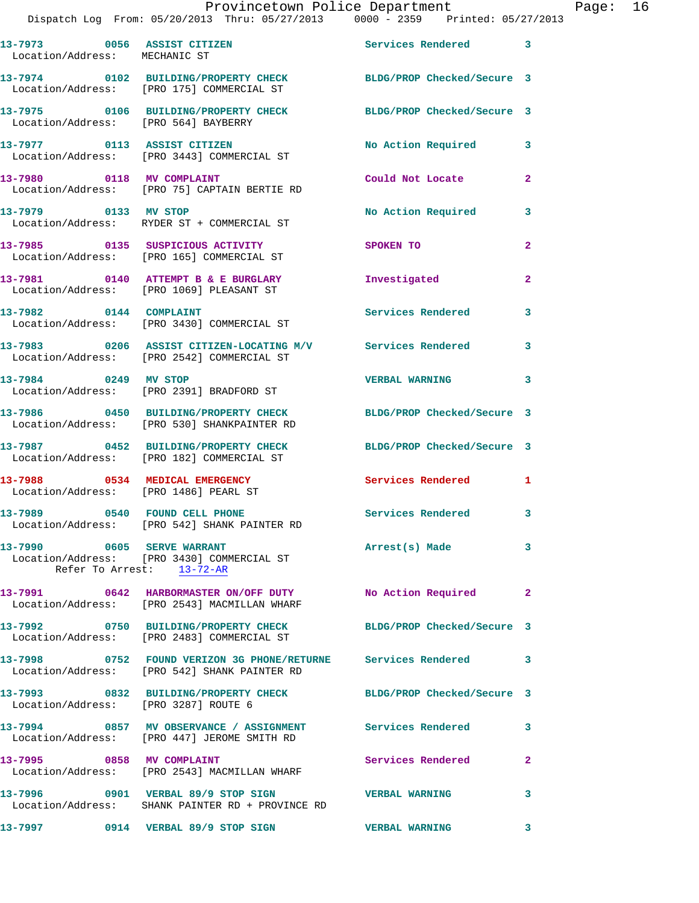|                              |      |                                                                                | Provincetown Police Department |                   |                            |   |
|------------------------------|------|--------------------------------------------------------------------------------|--------------------------------|-------------------|----------------------------|---|
|                              |      | Dispatch Log From: 05/20/2013 Thru: 05/27/2013 0000 - 2359 Printed: 05/27/2013 |                                |                   |                            |   |
| 13-7973<br>Location/Address: | 0056 | <b>ASSIST CITIZEN</b><br>MECHANIC ST                                           |                                | Services Rendered |                            | 3 |
| 13-7974<br>Location/Address: | 0102 | <b>BUILDING/PROPERTY CHECK</b><br>[PRO 175] COMMERCIAL ST                      |                                |                   | BLDG/PROP Checked/Secure 3 |   |
| 13-7975                      | 0106 | <b>BUILDING/PROPERTY CHECK</b><br>Location/Address: [PRO 564] BAYBERRY         |                                |                   | BLDG/PROP Checked/Secure 3 |   |

**13-7977 0113 ASSIST CITIZEN No Action Required 3**  Location/Address: [PRO 3443] COMMERCIAL ST

**13-7980 0118 MV COMPLAINT Could Not Locate 2**  Location/Address: [PRO 75] CAPTAIN BERTIE RD

13-7979 0133 MV STOP **No Action Required** 3

 Location/Address: RYDER ST + COMMERCIAL ST **13-7985 0135 SUSPICIOUS ACTIVITY SPOKEN TO 2**  Location/Address: [PRO 165] COMMERCIAL ST

**13-7981 0140 ATTEMPT B & E BURGLARY Investigated 2**  Location/Address: [PRO 1069] PLEASANT ST 13-7982 0144 COMPLAINT **Services Rendered** 3

Location/Address: [PRO 3430] COMMERCIAL ST

**13-7983 0206 ASSIST CITIZEN-LOCATING M/V Services Rendered 3**  Location/Address: [PRO 2542] COMMERCIAL ST

**13-7984 0249 MV STOP VERBAL WARNING 3**  Location/Address: [PRO 2391] BRADFORD ST

**13-7986 0450 BUILDING/PROPERTY CHECK BLDG/PROP Checked/Secure 3**  Location/Address: [PRO 530] SHANKPAINTER RD

**13-7987 0452 BUILDING/PROPERTY CHECK BLDG/PROP Checked/Secure 3**  Location/Address: [PRO 182] COMMERCIAL ST

**13-7988 0534 MEDICAL EMERGENCY Services Rendered 1**  Location/Address: [PRO 1486] PEARL ST

**13-7989 0540 FOUND CELL PHONE Services Rendered 3**  Location/Address: [PRO 542] SHANK PAINTER RD

**13-7990 0605 SERVE WARRANT Arrest(s) Made 3**  Location/Address: [PRO 3430] COMMERCIAL ST Refer To Arrest: 13-72-AR

**13-7991 0642 HARBORMASTER ON/OFF DUTY No Action Required 2**  Location/Address: [PRO 2543] MACMILLAN WHARF

**13-7992 0750 BUILDING/PROPERTY CHECK BLDG/PROP Checked/Secure 3**  Location/Address: [PRO 2483] COMMERCIAL ST

**13-7998 0752 FOUND VERIZON 3G PHONE/RETURNE Services Rendered 3**  Location/Address: [PRO 542] SHANK PAINTER RD

**13-7993 0832 BUILDING/PROPERTY CHECK BLDG/PROP Checked/Secure 3**  Location/Address: [PRO 3287] ROUTE 6

**13-7994 0857 MV OBSERVANCE / ASSIGNMENT Services Rendered 3**  Location/Address: [PRO 447] JEROME SMITH RD

**13-7995 0858 MV COMPLAINT Services Rendered 2**  Location/Address: [PRO 2543] MACMILLAN WHARF

**13-7996 0901 VERBAL 89/9 STOP SIGN VERBAL WARNING 3** 

Location/Address: SHANK PAINTER RD + PROVINCE RD

**13-7997 0914 VERBAL 89/9 STOP SIGN VERBAL WARNING 3** 

Page: 16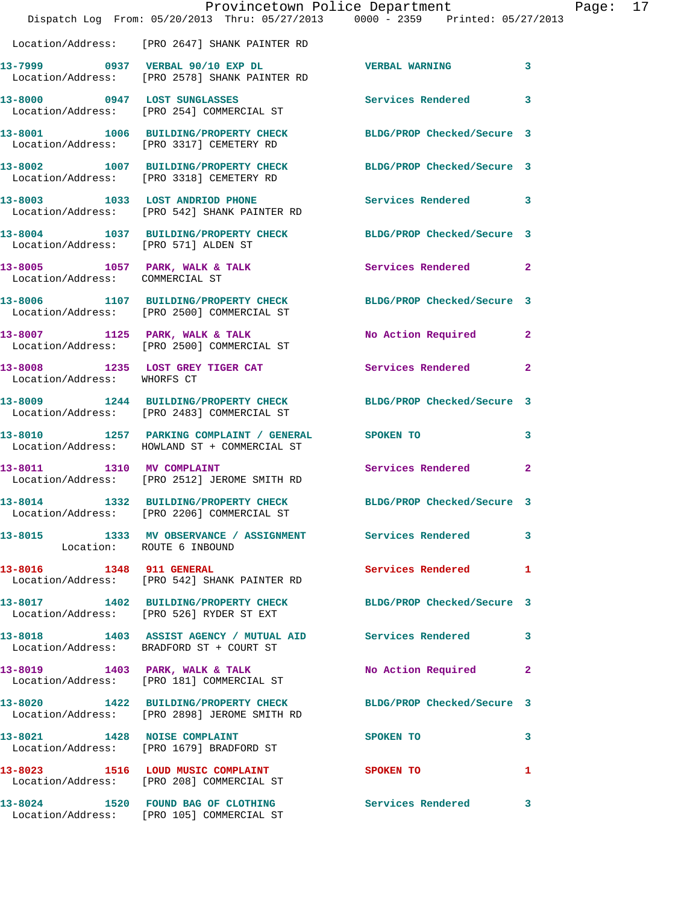|                                 | Dispatch Log From: 05/20/2013 Thru: 05/27/2013 0000 - 2359 Printed: 05/27/2013                                  | Provincetown Police Department |              | Page: 17 |  |
|---------------------------------|-----------------------------------------------------------------------------------------------------------------|--------------------------------|--------------|----------|--|
|                                 | Location/Address: [PRO 2647] SHANK PAINTER RD                                                                   |                                |              |          |  |
|                                 | 13-7999 0937 VERBAL 90/10 EXP DL  VERBAL WARNING 3<br>Location/Address: [PRO 2578] SHANK PAINTER RD             |                                |              |          |  |
|                                 | 13-8000 0947 LOST SUNGLASSES<br>Location/Address: [PRO 254] COMMERCIAL ST                                       | Services Rendered 3            |              |          |  |
|                                 | 13-8001 1006 BUILDING/PROPERTY CHECK BLDG/PROP Checked/Secure 3<br>Location/Address: [PRO 3317] CEMETERY RD     |                                |              |          |  |
|                                 | 13-8002 1007 BUILDING/PROPERTY CHECK BLDG/PROP Checked/Secure 3<br>Location/Address: [PRO 3318] CEMETERY RD     |                                |              |          |  |
|                                 | 13-8003 1033 LOST ANDRIOD PHONE<br>Location/Address: [PRO 542] SHANK PAINTER RD                                 | Services Rendered 3            |              |          |  |
|                                 | 13-8004 1037 BUILDING/PROPERTY CHECK BLDG/PROP Checked/Secure 3<br>Location/Address: [PRO 571] ALDEN ST         |                                |              |          |  |
| Location/Address: COMMERCIAL ST | 13-8005 1057 PARK, WALK & TALK                                                                                  | Services Rendered 2            |              |          |  |
|                                 | 13-8006 1107 BUILDING/PROPERTY CHECK BLDG/PROP Checked/Secure 3<br>Location/Address: [PRO 2500] COMMERCIAL ST   |                                |              |          |  |
|                                 | 13-8007 1125 PARK, WALK & TALK<br>Location/Address: [PRO 2500] COMMERCIAL ST                                    | No Action Required 2           |              |          |  |
| Location/Address: WHORFS CT     | 13-8008 1235 LOST GREY TIGER CAT                                                                                | Services Rendered 2            |              |          |  |
|                                 | 13-8009 1244 BUILDING/PROPERTY CHECK<br>Location/Address: [PRO 2483] COMMERCIAL ST                              | BLDG/PROP Checked/Secure 3     |              |          |  |
|                                 | 13-8010 1257 PARKING COMPLAINT / GENERAL SPOKEN TO<br>Location/Address: HOWLAND ST + COMMERCIAL ST              |                                | 3            |          |  |
|                                 | 13-8011 1310 MV COMPLAINT<br>Location/Address: [PRO 2512] JEROME SMITH RD                                       | Services Rendered              | $\mathbf{2}$ |          |  |
| 13-8014                         | 1332 BUILDING/PROPERTY CHECK BLDG/PROP Checked/Secure 3<br>Location/Address: [PRO 2206] COMMERCIAL ST           |                                |              |          |  |
| Location: ROUTE 6 INBOUND       | 13-8015 1333 MV OBSERVANCE / ASSIGNMENT Services Rendered 3                                                     |                                |              |          |  |
|                                 | 13-8016 1348 911 GENERAL<br>Location/Address: [PRO 542] SHANK PAINTER RD                                        | Services Rendered 1            |              |          |  |
|                                 | 13-8017 1402 BUILDING/PROPERTY CHECK BLDG/PROP Checked/Secure 3<br>Location/Address: [PRO 526] RYDER ST EXT     |                                |              |          |  |
|                                 | 13-8018 1403 ASSIST AGENCY / MUTUAL AID Services Rendered 3<br>Location/Address: BRADFORD ST + COURT ST         |                                |              |          |  |
|                                 | 13-8019 1403 PARK, WALK & TALK<br>Location/Address: [PRO 181] COMMERCIAL ST                                     | No Action Required 2           |              |          |  |
|                                 | 13-8020 1422 BUILDING/PROPERTY CHECK BLDG/PROP Checked/Secure 3<br>Location/Address: [PRO 2898] JEROME SMITH RD |                                |              |          |  |
|                                 | 13-8021 1428 NOISE COMPLAINT<br>Location/Address: [PRO 1679] BRADFORD ST                                        | SPOKEN TO                      | $\mathbf{3}$ |          |  |
|                                 | 13-8023 1516 LOUD MUSIC COMPLAINT SPOKEN TO 1<br>Location/Address: [PRO 208] COMMERCIAL ST                      |                                |              |          |  |
|                                 | 13-8024 1520 FOUND BAG OF CLOTHING Services Rendered 3<br>Location/Address: [PRO 105] COMMERCIAL ST             |                                |              |          |  |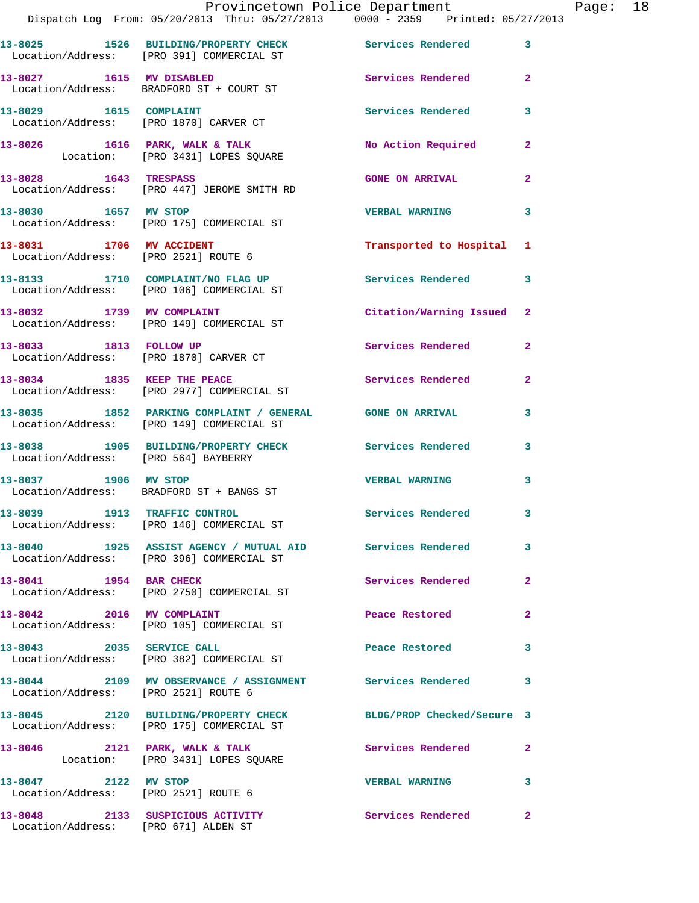|                                      | Dispatch Log From: 05/20/2013 Thru: 05/27/2013 0000 - 2359 Printed: 05/27/2013                               | Provincetown Police Department Page: 18 |                |  |
|--------------------------------------|--------------------------------------------------------------------------------------------------------------|-----------------------------------------|----------------|--|
|                                      | 13-8025 1526 BUILDING/PROPERTY CHECK Services Rendered<br>Location/Address: [PRO 391] COMMERCIAL ST          |                                         | $\mathbf{3}$   |  |
|                                      | 13-8027 1615 MV DISABLED<br>Location/Address: BRADFORD ST + COURT ST                                         | Services Rendered                       | $\mathbf{2}$   |  |
|                                      | 13-8029 1615 COMPLAINT<br>Location/Address: [PRO 1870] CARVER CT                                             | Services Rendered                       | 3              |  |
|                                      | 13-8026 1616 PARK, WALK & TALK NO Action Required<br>Location: [PRO 3431] LOPES SQUARE                       |                                         | $\mathbf{2}$   |  |
|                                      | 13-8028 1643 TRESPASS<br>Location/Address: [PRO 447] JEROME SMITH RD                                         | <b>GONE ON ARRIVAL</b>                  | $\mathbf{2}$   |  |
| 13-8030 1657 MV STOP                 | Location/Address: [PRO 175] COMMERCIAL ST                                                                    | <b>VERBAL WARNING</b>                   | 3              |  |
|                                      | 13-8031 1706 MV ACCIDENT<br>Location/Address: [PRO 2521] ROUTE 6                                             | Transported to Hospital 1               |                |  |
|                                      | 13-8133 1710 COMPLAINT/NO FLAG UP Services Rendered<br>Location/Address: [PRO 106] COMMERCIAL ST             |                                         | 3              |  |
|                                      | 13-8032 1739 MV COMPLAINT<br>Location/Address: [PRO 149] COMMERCIAL ST                                       | Citation/Warning Issued 2               |                |  |
|                                      | 13-8033 1813 FOLLOW UP<br>Location/Address: [PRO 1870] CARVER CT                                             | Services Rendered                       | $\mathbf{2}$   |  |
|                                      | 13-8034 1835 KEEP THE PEACE<br>Location/Address: [PRO 2977] COMMERCIAL ST                                    | Services Rendered                       | $\overline{2}$ |  |
|                                      | 13-8035 1852 PARKING COMPLAINT / GENERAL GONE ON ARRIVAL<br>Location/Address: [PRO 149] COMMERCIAL ST        |                                         | 3              |  |
| Location/Address: [PRO 564] BAYBERRY | 13-8038 1905 BUILDING/PROPERTY CHECK Services Rendered 3                                                     |                                         |                |  |
|                                      | 13-8037 1906 MV STOP<br>Location/Address: BRADFORD ST + BANGS ST                                             | <b>VERBAL WARNING</b>                   | 3              |  |
|                                      | 13-8039 1913 TRAFFIC CONTROL<br>Location/Address: [PRO 146] COMMERCIAL ST                                    | <b>Services Rendered</b>                |                |  |
|                                      | 13-8040 1925 ASSIST AGENCY / MUTUAL AID Services Rendered<br>Location/Address: [PRO 396] COMMERCIAL ST       |                                         | $\mathbf{3}$   |  |
| 13-8041 1954 BAR CHECK               | Location/Address: [PRO 2750] COMMERCIAL ST                                                                   | Services Rendered                       | $\mathbf{2}$   |  |
|                                      | 13-8042 2016 MV COMPLAINT<br>Location/Address: [PRO 105] COMMERCIAL ST                                       | Peace Restored                          | $\mathbf{2}$   |  |
|                                      | 13-8043 2035 SERVICE CALL<br>Location/Address: [PRO 382] COMMERCIAL ST                                       | Peace Restored 3                        |                |  |
| Location/Address: [PRO 2521] ROUTE 6 | 13-8044 2109 MV OBSERVANCE / ASSIGNMENT Services Rendered                                                    |                                         | 3              |  |
|                                      | 13-8045 2120 BUILDING/PROPERTY CHECK BLDG/PROP Checked/Secure 3<br>Location/Address: [PRO 175] COMMERCIAL ST |                                         |                |  |
|                                      | 13-8046 2121 PARK, WALK & TALK Services Rendered<br>Location: [PRO 3431] LOPES SQUARE                        |                                         | 2              |  |
| 13-8047 2122 MV STOP                 | Location/Address: [PRO 2521] ROUTE 6                                                                         | <b>VERBAL WARNING</b>                   | $\mathbf{3}$   |  |
|                                      | 13-8048 2133 SUSPICIOUS ACTIVITY Services Rendered                                                           |                                         | $\mathbf{2}$   |  |

Location/Address: [PRO 671] ALDEN ST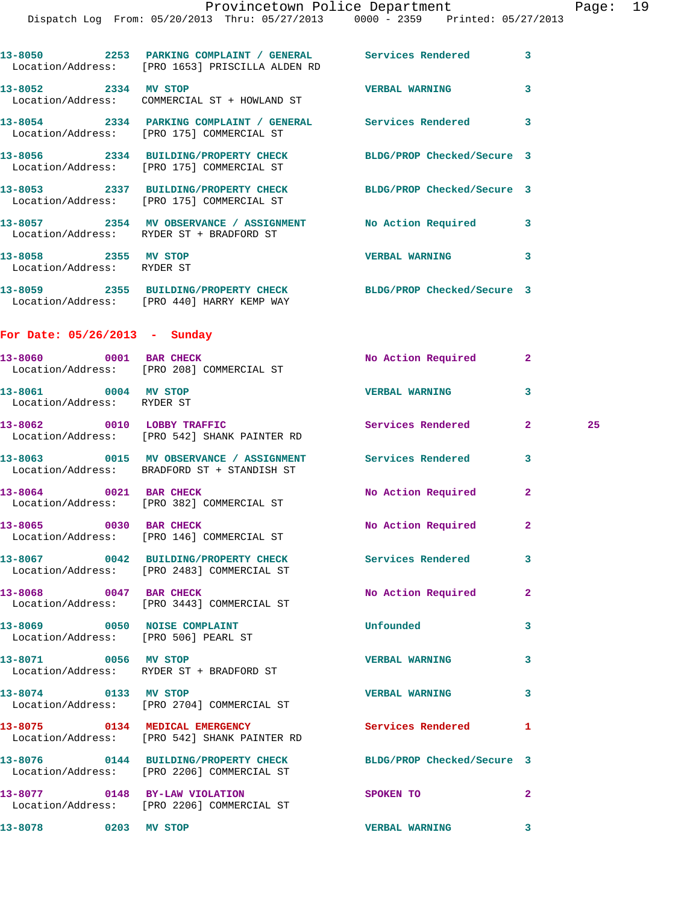|                                                    | Dispatch Log From: 05/20/2013 Thru: 05/27/2013 0000 - 2359 Printed: 05/27/2013                                  |                          |              |    |
|----------------------------------------------------|-----------------------------------------------------------------------------------------------------------------|--------------------------|--------------|----|
|                                                    | 13-8050 2253 PARKING COMPLAINT / GENERAL Services Rendered 3<br>Location/Address: [PRO 1653] PRISCILLA ALDEN RD |                          |              |    |
|                                                    | 13-8052 2334 MV STOP<br>Location/Address: COMMERCIAL ST + HOWLAND ST                                            | <b>VERBAL WARNING</b>    | 3            |    |
|                                                    | 13-8054 2334 PARKING COMPLAINT / GENERAL Services Rendered 3<br>Location/Address: [PRO 175] COMMERCIAL ST       |                          |              |    |
|                                                    | 13-8056 2334 BUILDING/PROPERTY CHECK BLDG/PROP Checked/Secure 3<br>Location/Address: [PRO 175] COMMERCIAL ST    |                          |              |    |
|                                                    | 13-8053 2337 BUILDING/PROPERTY CHECK BLDG/PROP Checked/Secure 3<br>Location/Address: [PRO 175] COMMERCIAL ST    |                          |              |    |
|                                                    | 13-8057 2354 MV OBSERVANCE / ASSIGNMENT No Action Required 3<br>Location/Address: RYDER ST + BRADFORD ST        |                          |              |    |
| 13-8058 2355 MV STOP<br>Location/Address: RYDER ST |                                                                                                                 | VERBAL WARNING 3         |              |    |
|                                                    | 13-8059 2355 BUILDING/PROPERTY CHECK BLDG/PROP Checked/Secure 3<br>Location/Address: [PRO 440] HARRY KEMP WAY   |                          |              |    |
| For Date: $05/26/2013$ - Sunday                    |                                                                                                                 |                          |              |    |
|                                                    | 13-8060 0001 BAR CHECK<br>Location/Address: [PRO 208] COMMERCIAL ST                                             | No Action Required 2     |              |    |
| 13-8061 0004 MV STOP<br>Location/Address: RYDER ST |                                                                                                                 | <b>VERBAL WARNING</b>    | 3            |    |
|                                                    | 13-8062 0010 LOBBY TRAFFIC<br>Location/Address: [PRO 542] SHANK PAINTER RD                                      | Services Rendered        | $\mathbf{2}$ | 25 |
|                                                    | 13-8063 0015 MV OBSERVANCE / ASSIGNMENT Services Rendered<br>Location/Address: BRADFORD ST + STANDISH ST        |                          | 3            |    |
|                                                    | 13-8064 0021 BAR CHECK<br>Location/Address: [PRO 382] COMMERCIAL ST                                             | No Action Required       | $\mathbf{2}$ |    |
|                                                    | 13-8065 0030 BAR CHECK<br>Location/Address: [PRO 146] COMMERCIAL ST                                             | No Action Required       | $\mathbf{2}$ |    |
|                                                    | 13-8067 0042 BUILDING/PROPERTY CHECK Services Rendered<br>Location/Address: [PRO 2483] COMMERCIAL ST            |                          | 3            |    |
| 13-8068 0047 BAR CHECK                             | Location/Address: [PRO 3443] COMMERCIAL ST                                                                      | No Action Required       | $\mathbf{2}$ |    |
|                                                    | 13-8069 0050 NOISE COMPLAINT<br>Location/Address: [PRO 506] PEARL ST                                            | Unfounded                | 3            |    |
| 13-8071 0056 MV STOP                               | Location/Address: RYDER ST + BRADFORD ST                                                                        | <b>VERBAL WARNING</b>    | 3            |    |
| 13-8074 0133 MV STOP                               | Location/Address: [PRO 2704] COMMERCIAL ST                                                                      | <b>VERBAL WARNING</b>    | 3            |    |
|                                                    | 13-8075 0134 MEDICAL EMERGENCY<br>Location/Address: [PRO 542] SHANK PAINTER RD                                  | <b>Services Rendered</b> | 1            |    |
|                                                    | 13-8076  0144 BUILDING/PROPERTY CHECK BLDG/PROP Checked/Secure 3<br>Location/Address: [PRO 2206] COMMERCIAL ST  |                          |              |    |
|                                                    | 13-8077 0148 BY-LAW VIOLATION<br>Location/Address: [PRO 2206] COMMERCIAL ST                                     | <b>SPOKEN TO</b>         | $\mathbf{2}$ |    |
| 13-8078 0203 MV STOP                               |                                                                                                                 | <b>VERBAL WARNING</b>    | 3            |    |
|                                                    |                                                                                                                 |                          |              |    |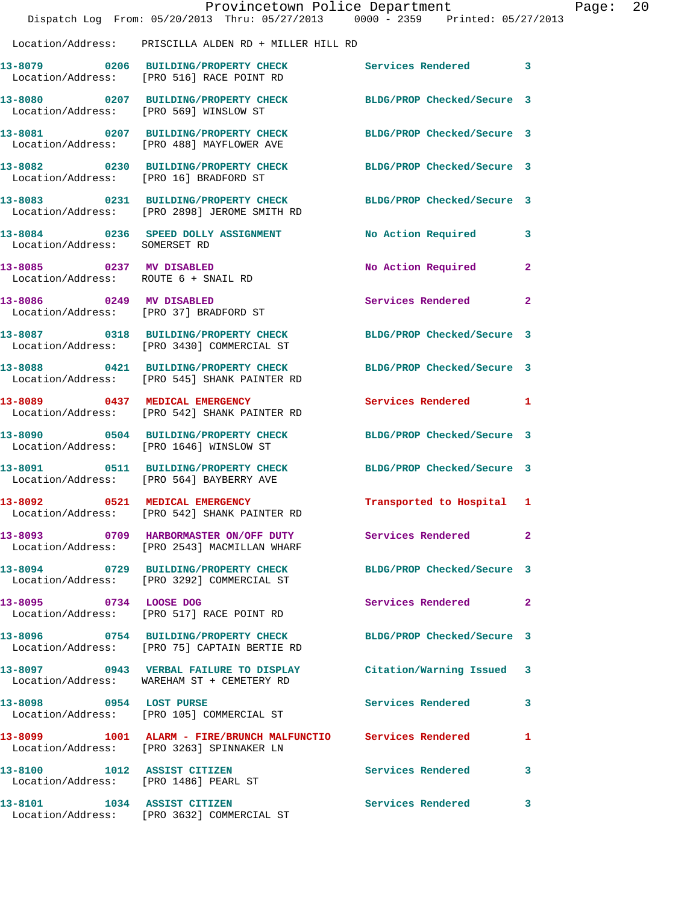|                                                                  | Dispatch Log From: 05/20/2013 Thru: 05/27/2013 0000 - 2359 Printed: 05/27/2013                                  | Provincetown Police Department |              | Page: 20 |  |
|------------------------------------------------------------------|-----------------------------------------------------------------------------------------------------------------|--------------------------------|--------------|----------|--|
|                                                                  | Location/Address: PRISCILLA ALDEN RD + MILLER HILL RD                                                           |                                |              |          |  |
|                                                                  | 13-8079 0206 BUILDING/PROPERTY CHECK Services Rendered 3<br>Location/Address: [PRO 516] RACE POINT RD           |                                |              |          |  |
|                                                                  | 13-8080 0207 BUILDING/PROPERTY CHECK BLDG/PROP Checked/Secure 3<br>Location/Address: [PRO 569] WINSLOW ST       |                                |              |          |  |
|                                                                  | 13-8081 0207 BUILDING/PROPERTY CHECK BLDG/PROP Checked/Secure 3<br>Location/Address: [PRO 488] MAYFLOWER AVE    |                                |              |          |  |
|                                                                  | 13-8082 0230 BUILDING/PROPERTY CHECK BLDG/PROP Checked/Secure 3<br>Location/Address: [PRO 16] BRADFORD ST       |                                |              |          |  |
|                                                                  | 13-8083 0231 BUILDING/PROPERTY CHECK<br>Location/Address: [PRO 2898] JEROME SMITH RD                            | BLDG/PROP Checked/Secure 3     |              |          |  |
| Location/Address: SOMERSET RD                                    | 13-8084 0236 SPEED DOLLY ASSIGNMENT                                                                             | No Action Required 3           |              |          |  |
| 13-8085 0237 MV DISABLED<br>Location/Address: ROUTE 6 + SNAIL RD |                                                                                                                 | No Action Required             | $\mathbf{2}$ |          |  |
|                                                                  | 13-8086 0249 MV DISABLED<br>Location/Address: [PRO 37] BRADFORD ST                                              | Services Rendered              | $\mathbf{2}$ |          |  |
|                                                                  | 13-8087 0318 BUILDING/PROPERTY CHECK BLDG/PROP Checked/Secure 3<br>Location/Address: [PRO 3430] COMMERCIAL ST   |                                |              |          |  |
|                                                                  | 13-8088 0421 BUILDING/PROPERTY CHECK<br>Location/Address: [PRO 545] SHANK PAINTER RD                            | BLDG/PROP Checked/Secure 3     |              |          |  |
|                                                                  | 13-8089 0437 MEDICAL EMERGENCY<br>Location/Address: [PRO 542] SHANK PAINTER RD                                  | Services Rendered 1            |              |          |  |
|                                                                  | 13-8090 0504 BUILDING/PROPERTY CHECK<br>Location/Address: [PRO 1646] WINSLOW ST                                 | BLDG/PROP Checked/Secure 3     |              |          |  |
|                                                                  | 13-8091 0511 BUILDING/PROPERTY CHECK BLDG/PROP Checked/Secure 3<br>Location/Address: [PRO 564] BAYBERRY AVE     |                                |              |          |  |
| 13-8092                                                          | 0521 MEDICAL EMERGENCY<br>Location/Address: [PRO 542] SHANK PAINTER RD                                          | Transported to Hospital 1      |              |          |  |
|                                                                  | 13-8093 0709 HARBORMASTER ON/OFF DUTY Services Rendered 2<br>Location/Address: [PRO 2543] MACMILLAN WHARF       |                                |              |          |  |
|                                                                  | 13-8094 0729 BUILDING/PROPERTY CHECK BLDG/PROP Checked/Secure 3<br>Location/Address: [PRO 3292] COMMERCIAL ST   |                                |              |          |  |
|                                                                  | 13-8095 0734 LOOSE DOG<br>Location/Address: [PRO 517] RACE POINT RD                                             | Services Rendered 2            |              |          |  |
|                                                                  | 13-8096 0754 BUILDING/PROPERTY CHECK BLDG/PROP Checked/Secure 3<br>Location/Address: [PRO 75] CAPTAIN BERTIE RD |                                |              |          |  |
|                                                                  | 13-8097 0943 VERBAL FAILURE TO DISPLAY<br>Location/Address: WAREHAM ST + CEMETERY RD                            | Citation/Warning Issued 3      |              |          |  |
|                                                                  | 13-8098 0954 LOST PURSE<br>Location/Address: [PRO 105] COMMERCIAL ST                                            | Services Rendered              | 3            |          |  |
|                                                                  | 13-8099 1001 ALARM - FIRE/BRUNCH MALFUNCTIO Services Rendered 1<br>Location/Address: [PRO 3263] SPINNAKER LN    |                                |              |          |  |
|                                                                  | 13-8100 1012 ASSIST CITIZEN<br>Location/Address: [PRO 1486] PEARL ST                                            | <b>Services Rendered</b>       | 3            |          |  |
| 13-8101 1034 ASSIST CITIZEN                                      | Location/Address: [PRO 3632] COMMERCIAL ST                                                                      | Services Rendered 3            |              |          |  |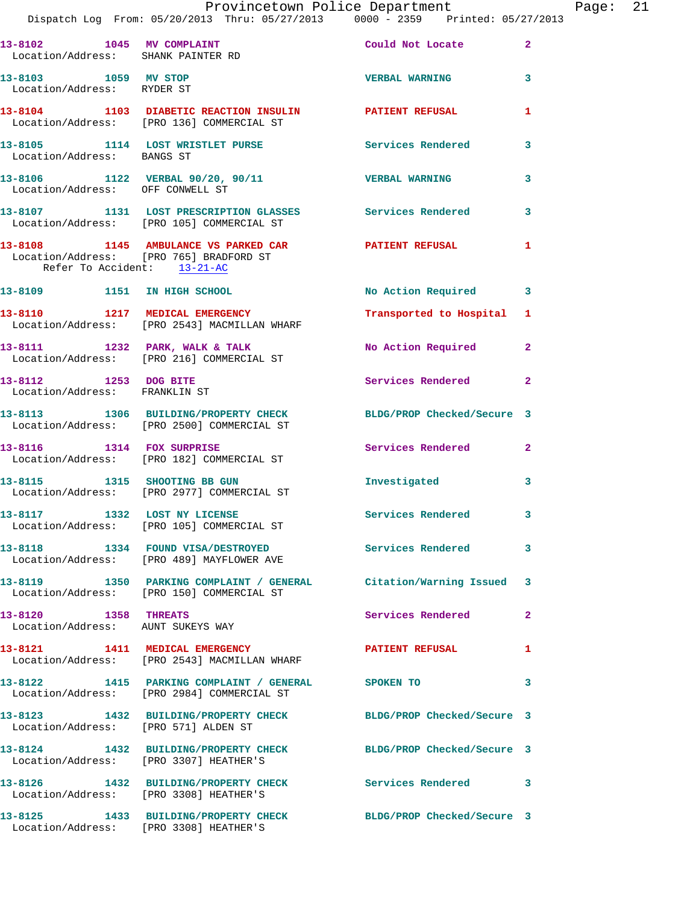|                                                           | Provincetown Police Department<br>Dispatch Log From: 05/20/2013 Thru: 05/27/2013 0000 - 2359 Printed: 05/27/2013 |                           |              | Page: 21 |  |
|-----------------------------------------------------------|------------------------------------------------------------------------------------------------------------------|---------------------------|--------------|----------|--|
| Location/Address: SHANK PAINTER RD                        | 13-8102 1045 MV COMPLAINT Could Not Locate 2                                                                     |                           |              |          |  |
| 13-8103 1059 MV STOP<br>Location/Address: RYDER ST        |                                                                                                                  | <b>VERBAL WARNING 3</b>   |              |          |  |
|                                                           | 13-8104 1103 DIABETIC REACTION INSULIN PATIENT REFUSAL<br>Location/Address: [PRO 136] COMMERCIAL ST              |                           | 1            |          |  |
| Location/Address: BANGS ST                                | 13-8105 1114 LOST WRISTLET PURSE Services Rendered 3                                                             |                           |              |          |  |
|                                                           | 13-8106 1122 VERBAL 90/20, 90/11 VERBAL WARNING 3<br>Location/Address: OFF CONWELL ST                            |                           |              |          |  |
|                                                           | 13-8107 1131 LOST PRESCRIPTION GLASSES Services Rendered<br>Location/Address: [PRO 105] COMMERCIAL ST            |                           | 3            |          |  |
| Refer To Accident: 13-21-AC                               | 13-8108 1145 AMBULANCE VS PARKED CAR PATIENT REFUSAL 1<br>Location/Address: [PRO 765] BRADFORD ST                |                           |              |          |  |
|                                                           | 13-8109 1151 IN HIGH SCHOOL                                                                                      | No Action Required 3      |              |          |  |
|                                                           | 13-8110 1217 MEDICAL EMERGENCY<br>Location/Address: [PRO 2543] MACMILLAN WHARF                                   | Transported to Hospital 1 |              |          |  |
|                                                           | 13-8111 1232 PARK, WALK & TALK 1998 No Action Required 2<br>Location/Address: [PRO 216] COMMERCIAL ST            |                           |              |          |  |
| 13-8112 1253 DOG BITE<br>Location/Address: FRANKLIN ST    |                                                                                                                  | Services Rendered 2       |              |          |  |
|                                                           | 13-8113 1306 BUILDING/PROPERTY CHECK BLDG/PROP Checked/Secure 3<br>Location/Address: [PRO 2500] COMMERCIAL ST    |                           |              |          |  |
|                                                           | 13-8116 1314 FOX SURPRISE<br>Location/Address: [PRO 182] COMMERCIAL ST                                           | Services Rendered 2       |              |          |  |
|                                                           | 13-8115 1315 SHOOTING BB GUN<br>Location/Address: [PRO 2977] COMMERCIAL ST                                       | Investigated              | 3            |          |  |
|                                                           | 13-8117 1332 LOST NY LICENSE<br>Location/Address: [PRO 105] COMMERCIAL ST                                        | Services Rendered 3       |              |          |  |
|                                                           | 13-8118 1334 FOUND VISA/DESTROYED Services Rendered<br>Location/Address: [PRO 489] MAYFLOWER AVE                 |                           | $\mathbf{3}$ |          |  |
|                                                           | 13-8119 1350 PARKING COMPLAINT / GENERAL Citation/Warning Issued 3<br>Location/Address: [PRO 150] COMMERCIAL ST  |                           |              |          |  |
| 13-8120 1358 THREATS<br>Location/Address: AUNT SUKEYS WAY |                                                                                                                  | Services Rendered         | $\mathbf{2}$ |          |  |
|                                                           | 13-8121 1411 MEDICAL EMERGENCY<br>Location/Address: [PRO 2543] MACMILLAN WHARF                                   | PATIENT REFUSAL 1         |              |          |  |
|                                                           | 13-8122 1415 PARKING COMPLAINT / GENERAL SPOKEN TO<br>Location/Address: [PRO 2984] COMMERCIAL ST                 |                           | 3            |          |  |
| Location/Address: [PRO 571] ALDEN ST                      | 13-8123 1432 BUILDING/PROPERTY CHECK BLDG/PROP Checked/Secure 3                                                  |                           |              |          |  |
|                                                           | 13-8124 1432 BUILDING/PROPERTY CHECK BLDG/PROP Checked/Secure 3<br>Location/Address: [PRO 3307] HEATHER'S        |                           |              |          |  |
| Location/Address: [PRO 3308] HEATHER'S                    | 13-8126 1432 BUILDING/PROPERTY CHECK Services Rendered 3                                                         |                           |              |          |  |
|                                                           |                                                                                                                  |                           |              |          |  |

**13-8125 1433 BUILDING/PROPERTY CHECK BLDG/PROP Checked/Secure 3** 

Location/Address: [PRO 3308] HEATHER'S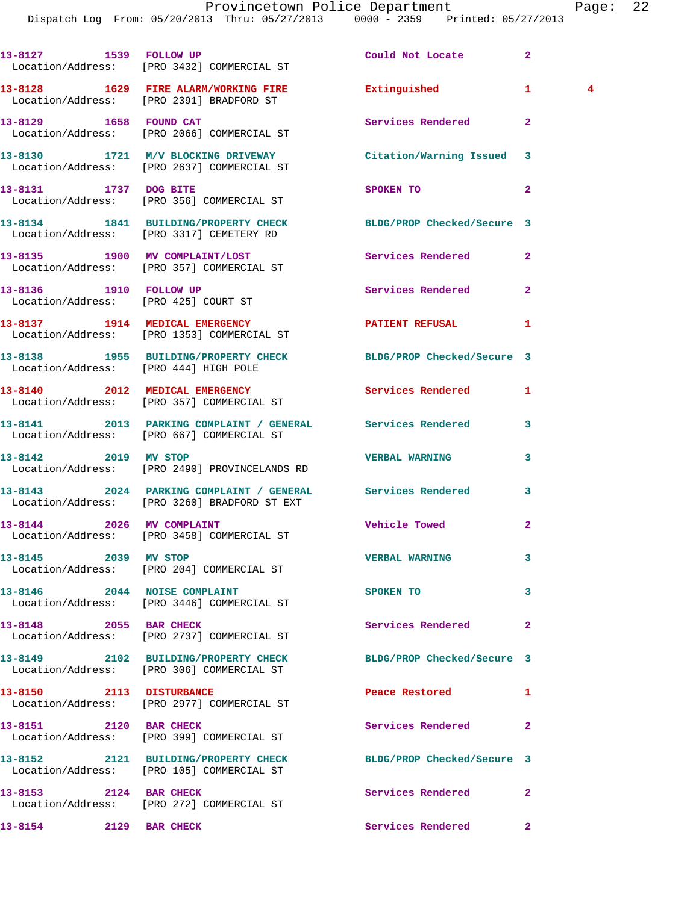Dispatch Log From: 05/20/2013 Thru: 05/27/2013 0000 - 2359 Printed: 05/27/2013

|                                                                | 13-8127 1539 FOLLOW UP<br>Location/Address: [PRO 3432] COMMERCIAL ST                                       | Could Not Locate            | $\overline{a}$                          |
|----------------------------------------------------------------|------------------------------------------------------------------------------------------------------------|-----------------------------|-----------------------------------------|
|                                                                | 13-8128 1629 FIRE ALARM/WORKING FIRE Extinguished<br>Location/Address: [PRO 2391] BRADFORD ST              |                             | $\mathbf{1}$<br>$\overline{\mathbf{4}}$ |
|                                                                | 13-8129 1658 FOUND CAT<br>Location/Address: [PRO 2066] COMMERCIAL ST                                       | Services Rendered           | $\mathbf{2}$                            |
|                                                                | 13-8130 1721 M/V BLOCKING DRIVEWAY<br>Location/Address: [PRO 2637] COMMERCIAL ST                           | Citation/Warning Issued 3   |                                         |
| 13-8131 1737 DOG BITE                                          | Location/Address: [PRO 356] COMMERCIAL ST                                                                  | SPOKEN TO                   | $\mathbf{2}$                            |
|                                                                | 13-8134 1841 BUILDING/PROPERTY CHECK<br>Location/Address: [PRO 3317] CEMETERY RD                           | BLDG/PROP Checked/Secure 3  |                                         |
|                                                                | 13-8135 1900 MV COMPLAINT/LOST<br>Location/Address: [PRO 357] COMMERCIAL ST                                | Services Rendered           | $\overline{2}$                          |
| 13-8136 1910 FOLLOW UP<br>Location/Address: [PRO 425] COURT ST |                                                                                                            | Services Rendered           | $\overline{2}$                          |
|                                                                | 13-8137 1914 MEDICAL EMERGENCY<br>Location/Address: [PRO 1353] COMMERCIAL ST                               | <b>PATIENT REFUSAL</b>      | 1                                       |
| Location/Address: [PRO 444] HIGH POLE                          | 13-8138 1955 BUILDING/PROPERTY CHECK BLDG/PROP Checked/Secure 3                                            |                             |                                         |
|                                                                | 13-8140 2012 MEDICAL EMERGENCY<br>Location/Address: [PRO 357] COMMERCIAL ST                                | Services Rendered           | 1                                       |
|                                                                | 13-8141 2013 PARKING COMPLAINT / GENERAL Services Rendered<br>Location/Address: [PRO 667] COMMERCIAL ST    |                             | 3                                       |
| 13-8142 2019 MV STOP                                           | Location/Address: [PRO 2490] PROVINCELANDS RD                                                              | <b>VERBAL WARNING</b>       | 3                                       |
|                                                                | 13-8143 2024 PARKING COMPLAINT / GENERAL Services Rendered<br>Location/Address: [PRO 3260] BRADFORD ST EXT |                             | 3                                       |
| 13-8144 2026 MV COMPLAINT                                      | Location/Address: [PRO 3458] COMMERCIAL ST                                                                 | <b>Vehicle Towed</b>        | $\mathbf{2}$                            |
| 13-8145 2039 MV STOP                                           | Location/Address: [PRO 204] COMMERCIAL ST                                                                  | <b>VERBAL WARNING</b>       | 3                                       |
|                                                                | 13-8146 2044 NOISE COMPLAINT<br>Location/Address: [PRO 3446] COMMERCIAL ST                                 | SPOKEN TO                   | 3                                       |
|                                                                | 13-8148 2055 BAR CHECK<br>Location/Address: [PRO 2737] COMMERCIAL ST                                       | Services Rendered           | $\mathbf{2}$                            |
|                                                                | 13-8149 2102 BUILDING/PROPERTY CHECK<br>Location/Address: [PRO 306] COMMERCIAL ST                          | BLDG/PROP Checked/Secure 3  |                                         |
|                                                                | 13-8150 2113 DISTURBANCE<br>Location/Address: [PRO 2977] COMMERCIAL ST                                     | Peace Restored <b>Seaps</b> | 1                                       |
| 13-8151 2120 BAR CHECK                                         | Location/Address: [PRO 399] COMMERCIAL ST                                                                  | Services Rendered           | $\overline{2}$                          |
|                                                                | 13-8152 2121 BUILDING/PROPERTY CHECK<br>Location/Address: [PRO 105] COMMERCIAL ST                          | BLDG/PROP Checked/Secure 3  |                                         |
| 13-8153 2124 BAR CHECK                                         | Location/Address: [PRO 272] COMMERCIAL ST                                                                  | Services Rendered           | $\mathbf{2}$                            |
| 13-8154 2129 BAR CHECK                                         |                                                                                                            | Services Rendered           | $\mathbf{2}$                            |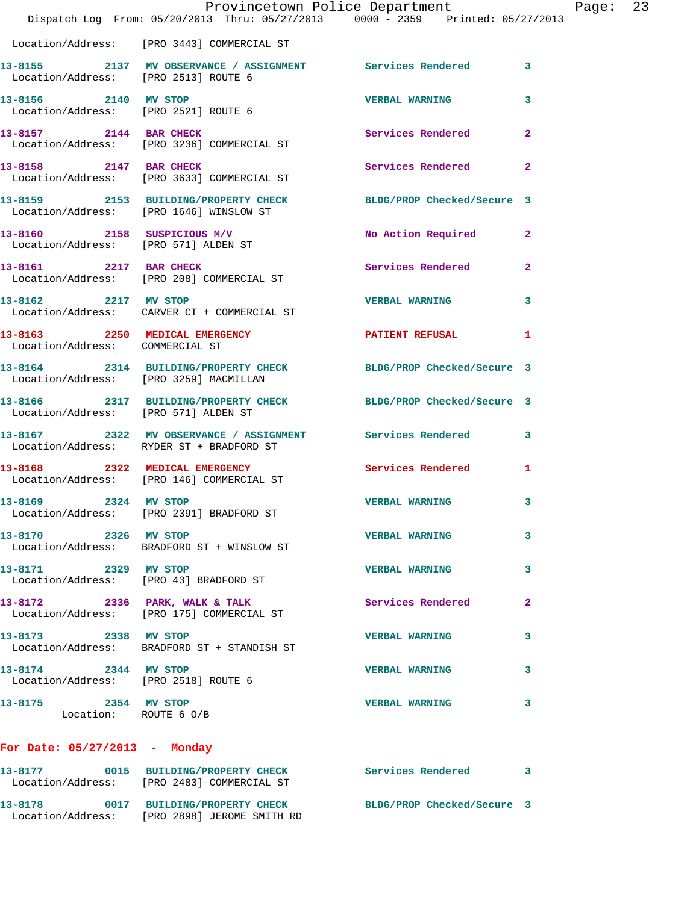|                                                              | Dispatch Log From: 05/20/2013 Thru: 05/27/2013 0000 - 2359 Printed: 05/27/2013                             | Provincetown Police Department |                | Page: 23 |  |
|--------------------------------------------------------------|------------------------------------------------------------------------------------------------------------|--------------------------------|----------------|----------|--|
|                                                              | Location/Address: [PRO 3443] COMMERCIAL ST                                                                 |                                |                |          |  |
| Location/Address: [PRO 2513] ROUTE 6                         | 13-8155 2137 MV OBSERVANCE / ASSIGNMENT Services Rendered 3                                                |                                |                |          |  |
| 13-8156 2140 MV STOP<br>Location/Address: [PRO 2521] ROUTE 6 |                                                                                                            | <b>VERBAL WARNING</b>          | 3              |          |  |
| 13-8157 2144 BAR CHECK                                       | Location/Address: [PRO 3236] COMMERCIAL ST                                                                 | Services Rendered              | $\overline{2}$ |          |  |
|                                                              | 13-8158 2147 BAR CHECK<br>Location/Address: [PRO 3633] COMMERCIAL ST                                       | Services Rendered              | $\mathbf{2}$   |          |  |
|                                                              | 13-8159 2153 BUILDING/PROPERTY CHECK BLDG/PROP Checked/Secure 3<br>Location/Address: [PRO 1646] WINSLOW ST |                                |                |          |  |
| Location/Address: [PRO 571] ALDEN ST                         | $13-8160$ 2158 SUSPICIOUS M/V                                                                              | No Action Required             | $\mathbf{2}$   |          |  |
| 13-8161 2217 BAR CHECK                                       | Location/Address: [PRO 208] COMMERCIAL ST                                                                  | Services Rendered              | $\mathbf{2}$   |          |  |
|                                                              | 13-8162 2217 MV STOP<br>Location/Address: CARVER CT + COMMERCIAL ST                                        | <b>VERBAL WARNING</b>          | 3              |          |  |
| Location/Address: COMMERCIAL ST                              | 13-8163 2250 MEDICAL EMERGENCY                                                                             | PATIENT REFUSAL                | 1              |          |  |
| Location/Address: [PRO 3259] MACMILLAN                       | 13-8164 2314 BUILDING/PROPERTY CHECK BLDG/PROP Checked/Secure 3                                            |                                |                |          |  |
| Location/Address: [PRO 571] ALDEN ST                         | 13-8166 2317 BUILDING/PROPERTY CHECK BLDG/PROP Checked/Secure 3                                            |                                |                |          |  |
|                                                              | 13-8167 2322 MV OBSERVANCE / ASSIGNMENT Services Rendered 3<br>Location/Address: RYDER ST + BRADFORD ST    |                                |                |          |  |
|                                                              | 13-8168 2322 MEDICAL EMERGENCY<br>Location/Address: [PRO 146] COMMERCIAL ST                                | Services Rendered              | 1              |          |  |
| 13-8169 2324 MV STOP                                         | Location/Address: [PRO 2391] BRADFORD ST                                                                   | <b>VERBAL WARNING</b>          | 3              |          |  |
| 13-8170 2326 MV STOP                                         | Location/Address: BRADFORD ST + WINSLOW ST                                                                 | <b>VERBAL WARNING</b>          | 3              |          |  |
| 13-8171 2329 MV STOP                                         | Location/Address: [PRO 43] BRADFORD ST                                                                     | <b>VERBAL WARNING</b>          | 3              |          |  |
|                                                              | 13-8172 2336 PARK, WALK & TALK<br>Location/Address: [PRO 175] COMMERCIAL ST                                | Services Rendered              | $\mathbf{2}$   |          |  |
| 13-8173 2338 MV STOP                                         | Location/Address: BRADFORD ST + STANDISH ST                                                                | <b>VERBAL WARNING</b>          | 3              |          |  |
| 13-8174 2344 MV STOP<br>Location/Address: [PRO 2518] ROUTE 6 |                                                                                                            | <b>VERBAL WARNING</b>          | 3              |          |  |
| 13-8175<br>2354 MV STOP<br>Location: ROUTE 6 O/B             |                                                                                                            | <b>VERBAL WARNING</b>          | 3              |          |  |
| For Date: $05/27/2013$ - Monday                              |                                                                                                            |                                |                |          |  |
|                                                              | Location/Address: [PRO 2483] COMMERCIAL ST                                                                 |                                |                |          |  |
|                                                              | 13-8178 0017 BUILDING/PROPERTY CHECK                                                                       | BLDG/PROP Checked/Secure 3     |                |          |  |

Location/Address: [PRO 2898] JEROME SMITH RD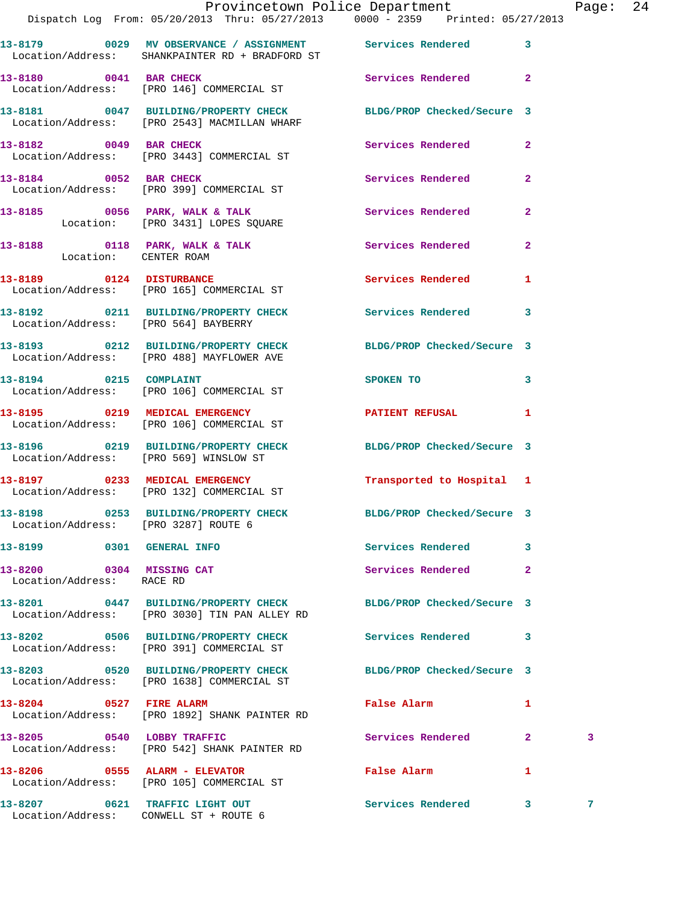|                                                       | Provincetown Police Department<br>Dispatch Log From: 05/20/2013 Thru: 05/27/2013 0000 - 2359 Printed: 05/27/2013  |                              |                         | Page: 24 |  |
|-------------------------------------------------------|-------------------------------------------------------------------------------------------------------------------|------------------------------|-------------------------|----------|--|
|                                                       | 13-8179 		 0029 MV OBSERVANCE / ASSIGNMENT Services Rendered 3<br>Location/Address: SHANKPAINTER RD + BRADFORD ST |                              |                         |          |  |
|                                                       | 13-8180 0041 BAR CHECK Services Rendered 2<br>Location/Address: [PRO 146] COMMERCIAL ST                           |                              |                         |          |  |
|                                                       | 13-8181 0047 BUILDING/PROPERTY CHECK BLDG/PROP Checked/Secure 3<br>Location/Address: [PRO 2543] MACMILLAN WHARF   |                              |                         |          |  |
|                                                       | 13-8182 0049 BAR CHECK Services Rendered 2<br>Location/Address: [PRO 3443] COMMERCIAL ST                          |                              |                         |          |  |
|                                                       | 13-8184 0052 BAR CHECK<br>Location/Address: [PRO 399] COMMERCIAL ST                                               | Services Rendered            | $\mathbf{2}$            |          |  |
|                                                       | 13-8185 0056 PARK, WALK & TALK 1988 Services Rendered<br>Location: [PRO 3431] LOPES SQUARE                        |                              | $\mathbf{2}$            |          |  |
| Location: CENTER ROAM                                 | 13-8188 0118 PARK, WALK & TALK 3 Services Rendered 2                                                              |                              |                         |          |  |
|                                                       | 13-8189 0124 DISTURBANCE Services Rendered<br>Location/Address: [PRO 165] COMMERCIAL ST                           |                              | $\mathbf{1}$            |          |  |
| Location/Address: [PRO 564] BAYBERRY                  | 13-8192 0211 BUILDING/PROPERTY CHECK Services Rendered 3                                                          |                              |                         |          |  |
|                                                       | 13-8193 0212 BUILDING/PROPERTY CHECK BLDG/PROP Checked/Secure 3<br>Location/Address: [PRO 488] MAYFLOWER AVE      |                              |                         |          |  |
|                                                       | 13-8194 0215 COMPLAINT<br>Location/Address: [PRO 106] COMMERCIAL ST                                               | SPOKEN TO                    | $\overline{\mathbf{3}}$ |          |  |
|                                                       | 13-8195 0219 MEDICAL EMERGENCY PATIENT REFUSAL 1<br>Location/Address: [PRO 106] COMMERCIAL ST                     |                              |                         |          |  |
|                                                       | 13-8196 0219 BUILDING/PROPERTY CHECK BLDG/PROP Checked/Secure 3<br>Location/Address: [PRO 569] WINSLOW ST         |                              |                         |          |  |
|                                                       | 13-8197 0233 MEDICAL EMERGENCY Transported to Hospital 1<br>Location/Address: [PRO 132] COMMERCIAL ST             |                              |                         |          |  |
| Location/Address: [PRO 3287] ROUTE 6                  | 13-8198 				0253 BUILDING/PROPERTY CHECK 					BLDG/PROP Checked/Secure 3                                          |                              |                         |          |  |
| 13-8199 0301 GENERAL INFO                             |                                                                                                                   | Services Rendered 3          |                         |          |  |
| 13-8200 0304 MISSING CAT<br>Location/Address: RACE RD |                                                                                                                   | Services Rendered            | $\mathbf{2}$            |          |  |
|                                                       | 13-8201 0447 BUILDING/PROPERTY CHECK BLDG/PROP Checked/Secure 3<br>Location/Address: [PRO 3030] TIN PAN ALLEY RD  |                              |                         |          |  |
|                                                       | 13-8202 0506 BUILDING/PROPERTY CHECK<br>Location/Address: [PRO 391] COMMERCIAL ST                                 | Services Rendered 3          |                         |          |  |
|                                                       | 13-8203 0520 BUILDING/PROPERTY CHECK BLDG/PROP Checked/Secure 3<br>Location/Address: [PRO 1638] COMMERCIAL ST     |                              |                         |          |  |
| 13-8204 0527 FIRE ALARM                               | Location/Address: [PRO 1892] SHANK PAINTER RD                                                                     | False Alarm                  | $\mathbf{1}$            |          |  |
|                                                       | 13-8205 0540 LOBBY TRAFFIC<br>Location/Address: [PRO 542] SHANK PAINTER RD                                        | Services Rendered 2          |                         | 3        |  |
| 13-8206 0555 ALARM - ELEVATOR                         | Location/Address: [PRO 105] COMMERCIAL ST                                                                         | False Alarm <b>Example 2</b> | $\mathbf{1}$            |          |  |
| 13-8207                                               | 0621 TRAFFIC LIGHT OUT                                                                                            | Services Rendered 3          |                         | 7        |  |

Location/Address: CONWELL ST + ROUTE 6